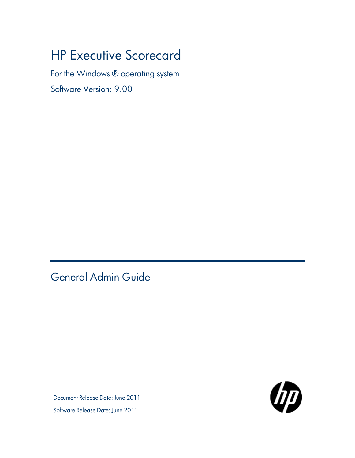# HP Executive Scorecard

For the Windows ® operating system

Software Version: 9.00

<span id="page-0-0"></span>General Admin Guide

Document Release Date: June 2011



Software Release Date: June 2011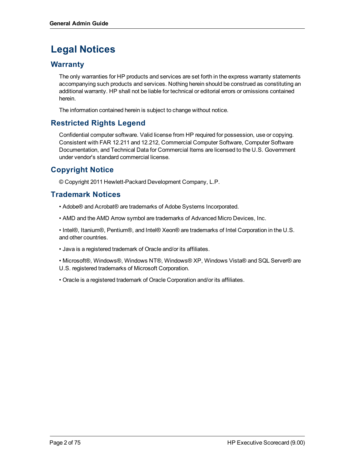# **Legal Notices**

# **Warranty**

The only warranties for HP products and services are set forth in the express warranty statements accompanying such products and services. Nothing herein should be construed as constituting an additional warranty. HP shall not be liable for technical or editorial errors or omissions contained herein.

The information contained herein is subject to change without notice.

# **Restricted Rights Legend**

Confidential computer software. Valid license from HP required for possession, use or copying. Consistent with FAR 12.211 and 12.212, Commercial Computer Software, Computer Software Documentation, and Technical Data for Commercial Items are licensed to the U.S. Government under vendor's standard commercial license.

# **Copyright Notice**

© Copyright 2011 Hewlett-Packard Development Company, L.P.

# **Trademark Notices**

• Adobe® and Acrobat® are trademarks of Adobe Systems Incorporated.

• AMD and the AMD Arrow symbol are trademarks of Advanced Micro Devices, Inc.

• Intel®, Itanium®, Pentium®, and Intel® Xeon® are trademarks of Intel Corporation in the U.S. and other countries.

- Java is a registered trademark of Oracle and/or its affiliates.
- Microsoft®, Windows®, Windows NT®, Windows® XP, Windows Vista® and SQL Server® are U.S. registered trademarks of Microsoft Corporation.
- Oracle is a registered trademark of Oracle Corporation and/or its affiliates.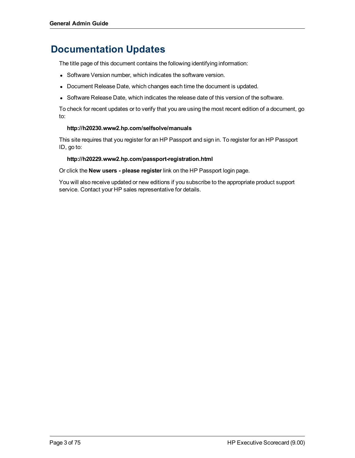# **Documentation Updates**

The title page of this document contains the following identifying information:

- Software Version number, which indicates the software version.
- Document Release Date, which changes each time the document is updated.
- Software Release Date, which indicates the release date of this version of the software.

To check for recent updates or to verify that you are using the most recent edition of a document, go to:

### **http://h20230.www2.hp.com/selfsolve/manuals**

This site requires that you register for an HP Passport and sign in. To register for an HP Passport ID, go to:

### **http://h20229.www2.hp.com/passport-registration.html**

Or click the **New users - please register** link on the HP Passport login page.

You will also receive updated or new editions if you subscribe to the appropriate product support service. Contact your HP sales representative for details.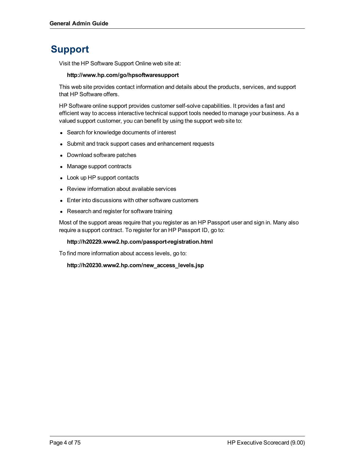# **Support**

Visit the HP Software Support Online web site at:

### **http://www.hp.com/go/hpsoftwaresupport**

This web site provides contact information and details about the products, services, and support that HP Software offers.

HP Software online support provides customer self-solve capabilities. It provides a fast and efficient way to access interactive technical support tools needed to manage your business. As a valued support customer, you can benefit by using the support web site to:

- Search for knowledge documents of interest
- Submit and track support cases and enhancement requests
- Download software patches
- Manage support contracts
- Look up HP support contacts
- Review information about available services
- Enter into discussions with other software customers
- Research and register for software training

Most of the support areas require that you register as an HP Passport user and sign in. Many also require a support contract. To register for an HP Passport ID, go to:

### **http://h20229.www2.hp.com/passport-registration.html**

To find more information about access levels, go to:

**http://h20230.www2.hp.com/new\_access\_levels.jsp**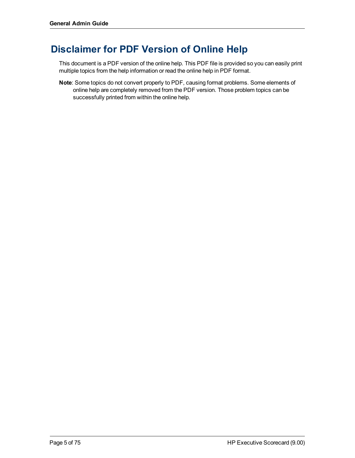# **Disclaimer for PDF Version of Online Help**

This document is a PDF version of the online help. This PDF file is provided so you can easily print multiple topics from the help information or read the online help in PDF format.

**Note**: Some topics do not convert properly to PDF, causing format problems. Some elements of online help are completely removed from the PDF version. Those problem topics can be successfully printed from within the online help.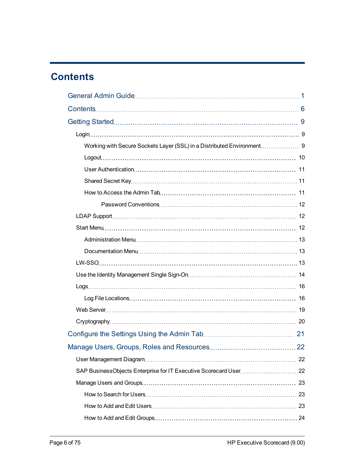# <span id="page-5-0"></span>**Contents**

| Manage Users, Groups, Roles and Resources | 22 |
|-------------------------------------------|----|
|                                           |    |
|                                           |    |
|                                           |    |
|                                           |    |
|                                           |    |
|                                           |    |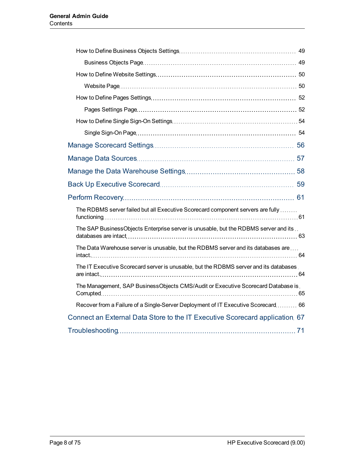| The RDBMS server failed but all Executive Scorecard component servers are fully        |  |
|----------------------------------------------------------------------------------------|--|
| The SAP BusinessObjects Enterprise server is unusable, but the RDBMS server and its    |  |
| The Data Warehouse server is unusable, but the RDBMS server and its databases are      |  |
| The IT Executive Scorecard server is unusable, but the RDBMS server and its databases. |  |
| The Management, SAP BusinessObjects CMS/Audit or Executive Scorecard Database is.      |  |
| Recover from a Failure of a Single-Server Deployment of IT Executive Scorecard  66     |  |
| Connect an External Data Store to the IT Executive Scorecard application 67            |  |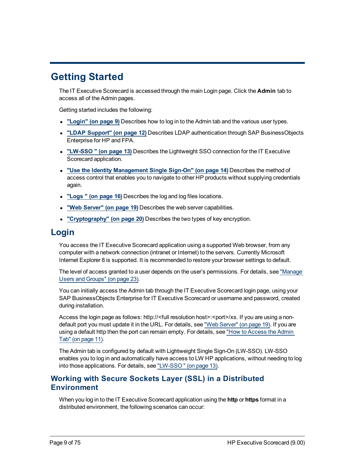# <span id="page-8-0"></span>**Getting Started**

The IT Executive Scorecard is accessed through the main Login page. Click the **Admin** tab to access all of the Admin pages.

Getting started includes the following:

- <sup>l</sup> **["Login"](#page-8-1) [\(on](#page-8-1) [page](#page-8-1) [9\)](#page-8-1)** Describes how to log in to the Admin tab and the various user types.
- <sup>l</sup> **["LDAP](#page-11-1) [Support"](#page-11-1) [\(on](#page-11-1) [page](#page-11-1) [12\)](#page-11-1)** Describes LDAP authentication through SAP BusinessObjects Enterprise for HP and FPA.
- <sup>l</sup> **["LW-SSO](#page-12-2) ["](#page-12-2) [\(on](#page-12-2) [page](#page-12-2) [13\)](#page-12-2)** Describes the Lightweight SSO connection for the IT Executive Scorecard application.
- <sup>l</sup> **["Use](#page-13-0) [the](#page-13-0) [Identity](#page-13-0) [Management](#page-13-0) [Single](#page-13-0) [Sign-On"](#page-13-0) [\(on](#page-13-0) [page](#page-13-0) [14\)](#page-13-0)** Describes the method of access control that enables you to navigate to other HP products without supplying credentials again.
- <sup>l</sup> **["Logs](#page-15-0) ["](#page-15-0) [\(on](#page-15-0) [page](#page-15-0) [16\)](#page-15-0)** Describes the log and log files locations.
- <sup>l</sup> **["Web](#page-18-0) [Server"](#page-18-0) [\(on](#page-18-0) [page](#page-18-0) [19\)](#page-18-0)** Describes the web server capabilities.
- <span id="page-8-1"></span><sup>l</sup> **["Cryptography"](#page-19-0) [\(on](#page-19-0) [page](#page-19-0) [20\)](#page-19-0)** Describes the two types of key encryption.

# **Login**

You access the IT Executive Scorecard application using a supported Web browser, from any computer with a network connection (intranet or Internet) to the servers. Currently Microsoft Internet Explorer 8 is supported. It is recommended to restore your browser settings to default.

The level of access granted to a user depends on the user's permissions. For details, see ["Manage](#page-22-0) [Users](#page-22-0) [and](#page-22-0) [Groups"](#page-22-0) [\(on](#page-22-0) [page](#page-22-0) [23\)](#page-22-0).

You can initially access the Admin tab through the IT Executive Scorecard login page, using your SAP BusinessObjects Enterprise for IT Executive Scorecard or username and password, created during installation.

Access the login page as follows: http://<full resolution host>:<port>/xs. If you are using a nondefault port you must update it in the URL. For details, see ["Web](#page-18-0) [Server"](#page-18-0) [\(on](#page-18-0) [page](#page-18-0) [19\).](#page-18-0) If you are using a default http then the port can remain empty. For details, see ["How](#page-10-2) [to](#page-10-2) [Access](#page-10-2) [the](#page-10-2) [Admin](#page-10-2) [Tab"](#page-10-2) [\(on](#page-10-2) [page](#page-10-2) [11\)](#page-10-2).

The Admin tab is configured by default with Lightweight Single Sign-On (LW-SSO). LW-SSO enables you to log in and automatically have access to LW HP applications, without needing to log into those applications. For details, see ["LW-SSO](#page-12-2) ["](#page-12-2) [\(on](#page-12-2) [page](#page-12-2) [13\)](#page-12-2).

# <span id="page-8-2"></span>**Working with Secure Sockets Layer (SSL) in a Distributed Environment**

When you log in to the IT Executive Scorecard application using the **http** or **https** format in a distributed environment, the following scenarios can occur: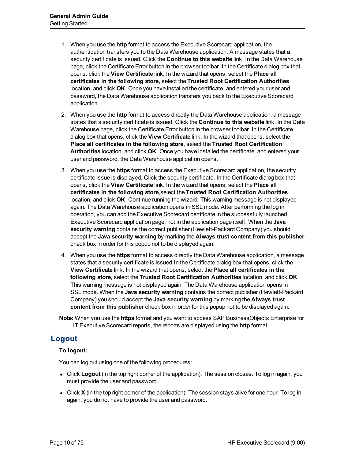- 1. When you use the **http** format to access the Executive Scorecard application, the authentication transfers you to the Data Warehouse application. A message states that a security certificate is issued. Click the **Continue to this website** link. In the Data Warehouse page, click the Certificate Error button in the browser toolbar. In the Certificate dialog box that opens, click the **View Certificate** link. In the wizard that opens, select the **Place all certificates in the following store**, select the **Trusted Root Certification Authorities** location, and click **OK**. Once you have installed the certificate, and entered your user and password, the Data Warehouse application transfers you back to the Executive Scorecard application.
- 2. When you use the **http** format to access directly the Data Warehouse application, a message states that a security certificate is issued. Click the **Continue to this website** link. In the Data Warehouse page, click the Certificate Error button in the browser toolbar. In the Certificate dialog box that opens, click the **View Certificate** link. In the wizard that opens, select the **Place all certificates in the following store**, select the **Trusted Root Certification Authorities** location, and click **OK**. Once you have installed the certificate, and entered your user and password, the Data Warehouse application opens.
- 3. When you use the **https** format to access the Executive Scorecard application, the security certificate issue is displayed. Click the security certificate. In the Certificate dialog box that opens, click the **View Certificate** link. In the wizard that opens, select the **Place all certificates in the following store**,select the **Trusted Root Certification Authorities** location, and click **OK**. Continue running the wizard. This warning message is not displayed again. The Data Warehouse application opens in SSL mode. After performing the log in operation, you can add the Executive Scorecard certificate in the successfully launched Executive Scorecard application page, not in the application page itself. When the **Java security warning** contains the correct publisher (Hewlett-Packard Company) you should accept the **Java security warning** by marking the **Always trust content from this publisher** check box in order for this popup not to be displayed again.
- 4. When you use the **https** format to access directly the Data Warehouse application, a message states that a security certificate is issued.In the Certificate dialog box that opens, click the **View Certificate** link. In the wizard that opens, select the **Place all certificates in the following store**, select the **Trusted Root Certification Authorities** location, and click **OK**. This warning message is not displayed again. The Data Warehouse application opens in SSL mode. When the **Java security warning** contains the correct publisher (Hewlett-Packard Company) you should accept the **Java security warning** by marking the **Always trust content from this publisher** check box in order for this popup not to be displayed again.
- **Note:** When you use the **https** format and you want to access SAP BusinessObjects Enterprise for IT Executive Scorecard reports, the reports are displayed using the **http** format.

# <span id="page-9-0"></span>**Logout**

### **To logout:**

You can log out using one of the following procedures:

- Click **Logout** (in the top right corner of the application). The session closes. To log in again, you must provide the user and password.
- Click **X** (in the top right corner of the application). The session stays alive for one hour. To log in again, you do not have to provide the user and password.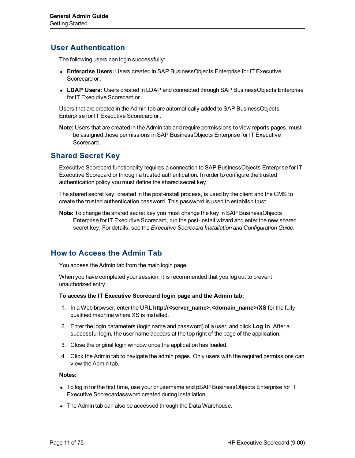# <span id="page-10-0"></span>**User Authentication**

The following users can login successfully:

- **Enterprise Users:** Users created in SAP BusinessObjects Enterprise for IT Executive Scorecard or .
- **LDAP Users:** Users created in LDAP and connected through SAP BusinessObjects Enterprise for IT Executive Scorecard or .

Users that are created in the Admin tab are automatically added to SAP BusinessObjects Enterprise for IT Executive Scorecard or .

**Note:** Users that are created in the Admin tab and require permissions to view reports pages, must be assigned those permissions in SAP BusinessObjects Enterprise for IT Executive Scorecard.

# <span id="page-10-1"></span>**Shared Secret Key**

Executive Scorecard functionality requires a connection to SAP BusinessObjects Enterprise for IT Executive Scorecard or through a trusted authentication. In order to configure the trusted authentication policy you must define the shared secret key.

The shared secret key, created in the post-install process, is used by the client and the CMS to create the trusted authentication password. This password is used to establish trust.

**Note:** To change the shared secret key you must change the key in SAP BusinessObjects Enterprise for IT Executive Scorecard, run the post-install wizard and enter the new shared secret key. For details, see the *Executive Scorecard Installation and Configuration Guide*.

# <span id="page-10-2"></span>**How to Access the Admin Tab**

You access the Admin tab from the main login page.

When you have completed your session, it is recommended that you log out to prevent unauthorized entry.

**To access the IT Executive Scorecard login page and the Admin tab:**

- 1. In a Web browser, enter the URL **http://<server\_name>.<domain\_name>/XS** for the fully qualified machine where XS is installed.
- 2. Enter the login parameters (login name and password) of a user, and click **Log In**. After a successful login, the user name appears at the top right of the page of the application.
- 3. Close the original login window once the application has loaded.
- 4. Click the Admin tab to navigate the admin pages. Only users with the required permissions can view the Admin tab.

### **Notes:**

- To log in for the first time, use your or username and pSAP BusinessObjects Enterprise for IT Executive Scorecardassword created during installation.
- The Admin tab can also be accessed through the Data Warehouse.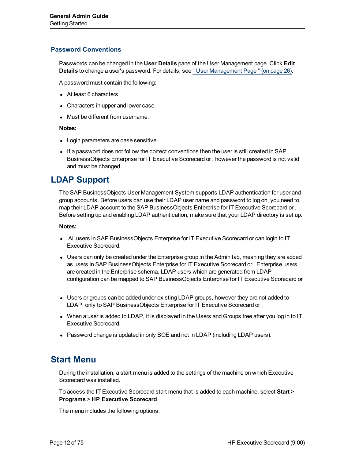### <span id="page-11-0"></span>**Password Conventions**

Passwords can be changed in the **User Details** pane of the User Management page. Click **Edit Details** to change a user's password. For details, see ["](#page-25-0) [User](#page-25-0) [Management](#page-25-0) [Page](#page-25-0) ["](#page-25-0) [\(on](#page-25-0) [page](#page-25-0) [26\)](#page-25-0).

A password must contain the following:

- At least 6 characters.
- Characters in upper and lower case.
- Must be different from username.

### **Notes:**

- Login parameters are case sensitive.
- If a password does not follow the correct conventions then the user is still created in SAP BusinessObjects Enterprise for IT Executive Scorecard or , however the password is not valid and must be changed.

# <span id="page-11-1"></span>**LDAP Support**

The SAP BusinessObjects User Management System supports LDAP authentication for user and group accounts. Before users can use their LDAP user name and password to log on, you need to map their LDAP account to the SAP BusinessObjects Enterprise for IT Executive Scorecard or . Before setting up and enabling LDAP authentication, make sure that your LDAP directory is set up.

### **Notes:**

- All users in SAP BusinessObjects Enterprise for IT Executive Scorecard or can login to IT Executive Scorecard.
- Users can only be created under the Enterprise group in the Admin tab, meaning they are added as users in SAP BusinessObjects Enterprise for IT Executive Scorecard or . Enterprise users are created in the Enterprise schema. LDAP users which are generated from LDAP configuration can be mapped to SAP BusinessObjects Enterprise for IT Executive Scorecard or .
- Users or groups can be added under existing LDAP groups, however they are not added to LDAP, only to SAP BusinessObjects Enterprise for IT Executive Scorecard or .
- When a user is added to LDAP, it is displayed in the Users and Groups tree after you log in to IT Executive Scorecard.
- Password change is updated in only BOE and not in LDAP (including LDAP users).

# <span id="page-11-2"></span>**Start Menu**

During the installation, a start menu is added to the settings of the machine on which Executive Scorecard was installed.

To access the IT Executive Scorecard start menu that is added to each machine, select **Start** > **Programs** > **HP Executive Scorecard**.

The menu includes the following options: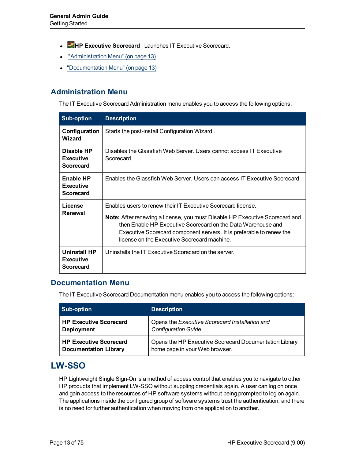- <sup>l</sup> **HP Executive Scorecard** : Launches IT Executive Scorecard.
- ["Administration](#page-12-0) [Menu"](#page-12-0) [\(on](#page-12-0) [page](#page-12-0) [13\)](#page-12-0)
- ["Documentation](#page-12-1) [Menu"](#page-12-1) [\(on](#page-12-1) [page](#page-12-1) [13\)](#page-12-1)

# <span id="page-12-0"></span>**Administration Menu**

The IT Executive Scorecard Administration menu enables you to access the following options:

| <b>Sub-option</b>                                  | <b>Description</b>                                                                                                                                                                                                                                                                                                                 |
|----------------------------------------------------|------------------------------------------------------------------------------------------------------------------------------------------------------------------------------------------------------------------------------------------------------------------------------------------------------------------------------------|
| Configuration<br>Wizard                            | Starts the post-install Configuration Wizard.                                                                                                                                                                                                                                                                                      |
| Disable HP<br><b>Executive</b><br><b>Scorecard</b> | Disables the Glassfish Web Server. Users cannot access IT Executive<br>Scorecard.                                                                                                                                                                                                                                                  |
| Enable HP<br><b>Executive</b><br><b>Scorecard</b>  | Enables the Glassfish Web Server. Users can access IT Executive Scorecard.                                                                                                                                                                                                                                                         |
| License<br>Renewal                                 | Enables users to renew their IT Executive Scorecard license.<br>Note: After renewing a license, you must Disable HP Executive Scorecard and<br>then Enable HP Executive Scorecard on the Data Warehouse and<br>Executive Scorecard component servers. It is preferable to renew the<br>license on the Executive Scorecard machine. |
| Uninstall HP<br><b>Executive</b><br>Scorecard      | Uninstalls the IT Executive Scorecard on the server.                                                                                                                                                                                                                                                                               |

### <span id="page-12-1"></span>**Documentation Menu**

The IT Executive Scorecard Documentation menu enables you to access the following options:

| <b>Sub-option</b>             | <b>Description</b>                                     |
|-------------------------------|--------------------------------------------------------|
| <b>HP Executive Scorecard</b> | Opens the Executive Scorecard Installation and         |
| <b>Deployment</b>             | <b>Configuration Guide.</b>                            |
| <b>HP Executive Scorecard</b> | Opens the HP Executive Scorecard Documentation Library |
| <b>Documentation Library</b>  | home page in your Web browser.                         |

# <span id="page-12-2"></span>**LW-SSO**

HP Lightweight Single Sign-On is a method of access control that enables you to navigate to other HP products that implement LW-SSO without suppling credentials again. A user can log on once and gain access to the resources of HP software systems without being prompted to log on again. The applications inside the configured group of software systems trust the authentication, and there is no need for further authentication when moving from one application to another.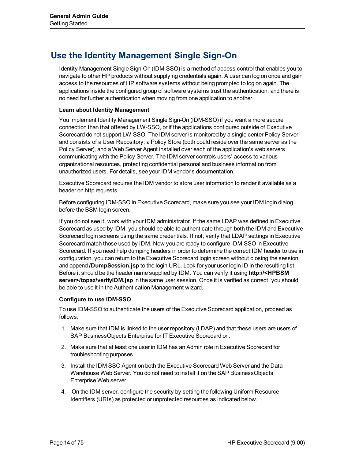# <span id="page-13-0"></span>**Use the Identity Management Single Sign-On**

Identity Management Single Sign-On (IDM-SSO) is a method of access control that enables you to navigate to other HP products without supplying credentials again. A user can log on once and gain access to the resources of HP software systems without being prompted to log on again. The applications inside the configured group of software systems trust the authentication, and there is no need for further authentication when moving from one application to another.

### **Learn about Identity Management**

You implement Identity Management Single Sign-On (IDM-SSO) if you want a more secure connection than that offered by LW-SSO, or if the applications configured outside of Executive Scorecard do not support LW-SSO. The IDM server is monitored by a single center Policy Server, and consists of a User Repository, a Policy Store (both could reside over the same server as the Policy Server), and a Web Server Agent installed over each of the application's web servers communicating with the Policy Server. The IDM server controls users' access to various organizational resources, protecting confidential personal and business information from unauthorized users. For details, see your IDM vendor's documentation.

Executive Scorecard requires the IDM vendor to store user information to render it available as a header on http requests.

Before configuring IDM-SSO in Executive Scorecard, make sure you see your IDM login dialog before the BSM login screen.

If you do not see it, work with your IDM administrator. If the same LDAP was defined in Executive Scorecard as used by IDM, you should be able to authenticate through both the IDM and Executive Scorecard login screens using the same credentials. If not, verify that LDAP settings in Executive Scorecard match those used by IDM. Now you are ready to configure IDM-SSO in Executive Scorecard. If you need help dumping headers in order to determine the correct IDM header to use in configuration, you can return to the Executive Scorecard login screen without closing the session and append **/DumpSession.jsp** to the login URL. Look for your user login ID in the resulting list. Before it should be the header name supplied by IDM. You can verify it using **http://<HPBSM server>/topaz/verifyIDM.jsp** in the same user session. Once it is verified as correct, you should be able to use it in the Authentication Management wizard.

### **Configure to use IDM-SSO**

To use IDM-SSO to authenticate the users of the Executive Scorecard application, proceed as follows:

- 1. Make sure that IDM is linked to the user repository (LDAP) and that these users are users of SAP BusinessObjects Enterprise for IT Executive Scorecard or .
- 2. Make sure that at least one user in IDM has an Admin role in Executive Scorecard for troubleshooting purposes.
- 3. Install the IDM SSO Agent on both the Executive Scorecard Web Server and the Data Warehouse Web Server. You do not need to install it on the SAP BusinessObjects Enterprise Web server.
- 4. On the IDM server, configure the security by setting the following Uniform Resource Identifiers (URIs) as protected or unprotected resources as indicated below.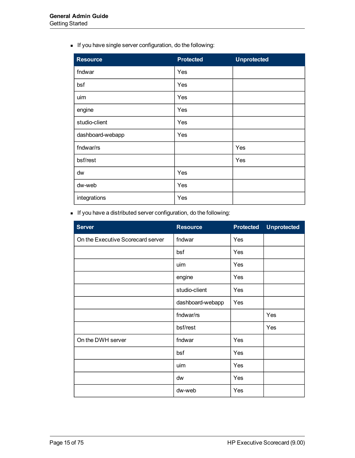**n** If you have single server configuration, do the following:

| <b>Resource</b>  | Protected | <b>Unprotected</b> |
|------------------|-----------|--------------------|
| fndwar           | Yes       |                    |
| bsf              | Yes       |                    |
| uim              | Yes       |                    |
| engine           | Yes       |                    |
| studio-client    | Yes       |                    |
| dashboard-webapp | Yes       |                    |
| fndwar/rs        |           | Yes                |
| bsf/rest         |           | Yes                |
| dw               | Yes       |                    |
| dw-web           | Yes       |                    |
| integrations     | Yes       |                    |

**n** If you have a distributed server configuration, do the following:

| <b>Server</b>                     | <b>Resource</b>  | <b>Protected</b> | <b>Unprotected</b> |
|-----------------------------------|------------------|------------------|--------------------|
| On the Executive Scorecard server | fndwar           | Yes              |                    |
|                                   | bsf              | Yes              |                    |
|                                   | uim              | Yes              |                    |
|                                   | engine           | Yes              |                    |
|                                   | studio-client    | Yes              |                    |
|                                   | dashboard-webapp | Yes              |                    |
|                                   | fndwar/rs        |                  | Yes                |
|                                   | bsf/rest         |                  | Yes                |
| On the DWH server                 | fndwar           | Yes              |                    |
|                                   | bsf              | Yes              |                    |
|                                   | uim              | Yes              |                    |
|                                   | dw               | Yes              |                    |
|                                   | dw-web           | Yes              |                    |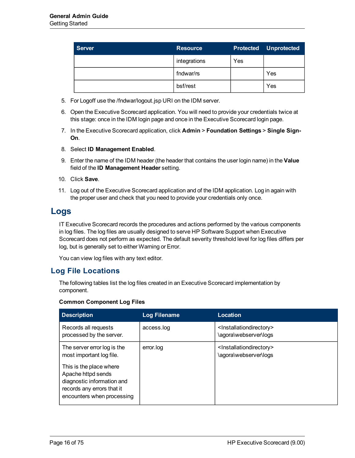| <b>Server</b> | <b>Resource</b> | <b>Protected</b> | <b>Unprotected</b> |
|---------------|-----------------|------------------|--------------------|
|               | integrations    | Yes              |                    |
|               | fndwar/rs       |                  | Yes                |
|               | bsf/rest        |                  | Yes                |

- 5. For Logoff use the /fndwar/logout.jsp URI on the IDM server.
- 6. Open the Executive Scorecard application. You will need to provide your credentials twice at this stage: once in the IDM login page and once in the Executive Scorecard login page.
- 7. In the Executive Scorecard application, click **Admin** > **Foundation Settings** > **Single Sign-On**.
- 8. Select **ID Management Enabled**.
- 9. Enter the name of the IDM header (the header that contains the user login name) in the **Value** field of the **ID Management Header** setting.
- 10. Click **Save**.
- 11. Log out of the Executive Scorecard application and of the IDM application. Log in again with the proper user and check that you need to provide your credentials only once.

# <span id="page-15-0"></span>**Logs**

IT Executive Scorecard records the procedures and actions performed by the various components in log files. The log files are usually designed to serve HP Software Support when Executive Scorecard does not perform as expected. The default severity threshold level for log files differs per log, but is generally set to either Warning or Error.

<span id="page-15-1"></span>You can view log files with any text editor.

## **Log File Locations**

The following tables list the log files created in an Executive Scorecard implementation by component.

### **Common Component Log Files**

| <b>Description</b>                                                                                                                      | <b>Log Filename</b> | Location                                                                  |
|-----------------------------------------------------------------------------------------------------------------------------------------|---------------------|---------------------------------------------------------------------------|
| Records all requests<br>processed by the server.                                                                                        | access.log          | <installationdirectory><br/>\agora\webserver\logs</installationdirectory> |
| The server error log is the<br>most important log file.                                                                                 | error.log           | <lnstallationdirectory><br/>\agora\webserver\logs</lnstallationdirectory> |
| This is the place where<br>Apache httpd sends<br>diagnostic information and<br>records any errors that it<br>encounters when processing |                     |                                                                           |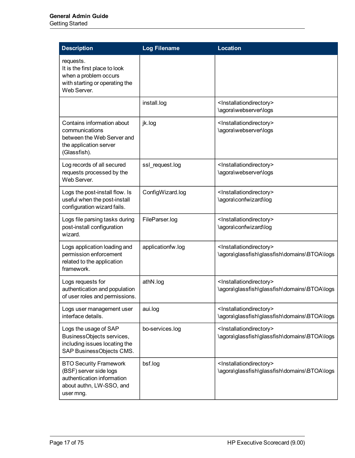Getting Started

| <b>Description</b>                                                                                                             | <b>Log Filename</b> | <b>Location</b>                                                                                  |
|--------------------------------------------------------------------------------------------------------------------------------|---------------------|--------------------------------------------------------------------------------------------------|
| requests.<br>It is the first place to look<br>when a problem occurs<br>with starting or operating the<br>Web Server.           |                     |                                                                                                  |
|                                                                                                                                | install.log         | <lnstallationdirectory><br/>\agora\webserver\logs</lnstallationdirectory>                        |
| Contains information about<br>communications<br>between the Web Server and<br>the application server<br>(Glassfish).           | jk.log              | <installationdirectory><br/>\agora\webserver\logs</installationdirectory>                        |
| Log records of all secured<br>requests processed by the<br>Web Server.                                                         | ssl request.log     | <installationdirectory><br/>\agora\webserver\logs</installationdirectory>                        |
| Logs the post-install flow. Is<br>useful when the post-install<br>configuration wizard fails.                                  | ConfigWizard.log    | <installationdirectory><br/>\agora\confwizard\log</installationdirectory>                        |
| Logs file parsing tasks during<br>post-install configuration<br>wizard.                                                        | FileParser.log      | <installationdirectory><br/>\agora\confwizard\log</installationdirectory>                        |
| Logs application loading and<br>permission enforcement<br>related to the application<br>framework.                             | applicationfw.log   | <installationdirectory><br/>\agora\glassfish\glassfish\domains\BTOA\logs</installationdirectory> |
| Logs requests for<br>authentication and population<br>of user roles and permissions.                                           | athN.log            | <installationdirectory><br/>\agora\glassfish\glassfish\domains\BTOA\logs</installationdirectory> |
| Logs user management user<br>interface details.                                                                                | aui.log             | <lnstallationdirectory><br/>\agora\glassfish\glassfish\domains\BTOA\logs</lnstallationdirectory> |
| Logs the usage of SAP<br>BusinessObjects services,<br>including issues locating the<br>SAP BusinessObjects CMS.                | bo-services.log     | <installationdirectory><br/>\agora\glassfish\glassfish\domains\BTOA\logs</installationdirectory> |
| <b>BTO Security Framework</b><br>(BSF) server side logs<br>authentication information<br>about authn, LW-SSO, and<br>user mng. | bsf.log             | <installationdirectory><br/>\agora\glassfish\glassfish\domains\BTOA\logs</installationdirectory> |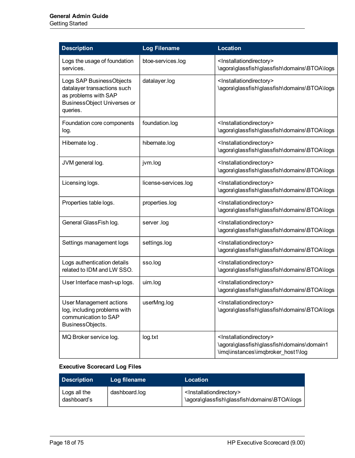| <b>Description</b>                                                                                                                | <b>Log Filename</b>  | <b>Location</b>                                                                                                                       |
|-----------------------------------------------------------------------------------------------------------------------------------|----------------------|---------------------------------------------------------------------------------------------------------------------------------------|
| Logs the usage of foundation<br>services.                                                                                         | btoe-services.log    | <installationdirectory><br/>\agora\glassfish\glassfish\domains\BTOA\logs</installationdirectory>                                      |
| Logs SAP BusinessObjects<br>datalayer transactions such<br>as problems with SAP<br><b>BusinessObject Universes or</b><br>queries. | datalayer.log        | <installationdirectory><br/>\agora\glassfish\glassfish\domains\BTOA\logs</installationdirectory>                                      |
| Foundation core components<br>log.                                                                                                | foundation.log       | <installationdirectory><br/>\agora\glassfish\glassfish\domains\BTOA\logs</installationdirectory>                                      |
| Hibernate log.                                                                                                                    | hibernate.log        | <installationdirectory><br/>\agora\glassfish\glassfish\domains\BTOA\logs</installationdirectory>                                      |
| JVM general log.                                                                                                                  | jvm.log              | <installationdirectory><br/>\agora\glassfish\glassfish\domains\BTOA\logs</installationdirectory>                                      |
| Licensing logs.                                                                                                                   | license-services.log | <installationdirectory><br/>\agora\glassfish\glassfish\domains\BTOA\logs</installationdirectory>                                      |
| Properties table logs.                                                                                                            | properties.log       | <installationdirectory><br/>\agora\glassfish\glassfish\domains\BTOA\logs</installationdirectory>                                      |
| General GlassFish log.                                                                                                            | server .log          | <installationdirectory><br/>\agora\glassfish\glassfish\domains\BTOA\logs</installationdirectory>                                      |
| Settings management logs                                                                                                          | settings.log         | <installationdirectory><br/>\agora\glassfish\glassfish\domains\BTOA\logs</installationdirectory>                                      |
| Logs authentication details<br>related to IDM and LW SSO.                                                                         | sso.log              | <installationdirectory><br/>\agora\glassfish\glassfish\domains\BTOA\logs</installationdirectory>                                      |
| User Interface mash-up logs.                                                                                                      | uim.log              | <installationdirectory><br/>\agora\glassfish\glassfish\domains\BTOA\logs</installationdirectory>                                      |
| <b>User Management actions</b><br>log, including problems with<br>communication to SAP<br>BusinessObjects.                        | userMng.log          | <installationdirectory><br/>\agora\glassfish\glassfish\domains\BTOA\logs</installationdirectory>                                      |
| MQ Broker service log.                                                                                                            | log.txt              | <installationdirectory><br/>\agora\glassfish\glassfish\domains\domain1<br/>\imq\instances\imqbroker_host1\log</installationdirectory> |

## **Executive Scorecard Log Files**

| Description                 | Log filename  | Location                                                                                         |
|-----------------------------|---------------|--------------------------------------------------------------------------------------------------|
| Logs all the<br>dashboard's | dashboard.log | <lnstallationdirectory><br/>\agora\glassfish\glassfish\domains\BTOA\logs</lnstallationdirectory> |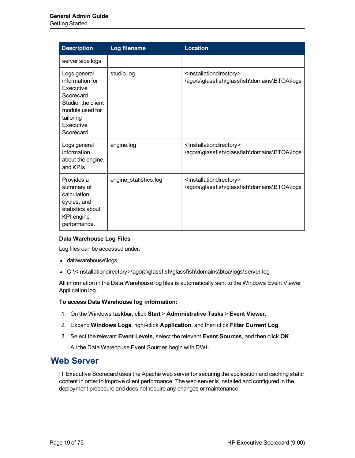| <b>Description</b>                                                                                                                         | Log filename          | <b>Location</b>                                                                                  |
|--------------------------------------------------------------------------------------------------------------------------------------------|-----------------------|--------------------------------------------------------------------------------------------------|
| server side logs.                                                                                                                          |                       |                                                                                                  |
| Logs general<br>information for<br>Executive<br>Scorecard<br>Studio, the client<br>module used for<br>tailoring<br>Executive<br>Scorecard. | studio.log            | <installationdirectory><br/>\agora\glassfish\glassfish\domains\BTOA\logs</installationdirectory> |
| Logs general<br>information<br>about the engine,<br>and KPIs.                                                                              | engine.log            | <installationdirectory><br/>\agora\glassfish\glassfish\domains\BTOA\logs</installationdirectory> |
| Provides a<br>summary of<br>calculation<br>cycles, and<br>statistics about<br>KPI engine<br>performance.                                   | engine_statistics.log | <installationdirectory><br/>\agora\glassfish\glassfish\domains\BTOA\logs</installationdirectory> |

### **Data Warehouse Log Files**

Log files can be accessed under:

- datawarehouse\logs
- <sup>l</sup> C:\<Installationdirectory>\agora\glassfish\glassfish\domains\btoa\logs\server.log

All information in the Data Warehouse log files is automatically sent to the Windows Event Viewer Application log.

### **To access Data Warehouse log information:**

- 1. On the Windows taskbar, click **Start** > **Administrative Tasks** > **Event Viewer**.
- 2. Expand **Windows Logs**, right-click **Application**, and then click **Filter Current Log**.
- 3. Select the relevant **Event Levels**, select the relevant **Event Sources**, and then click **OK**.

All the Data Warehouse Event Sources begin with DWH.

# <span id="page-18-0"></span>**Web Server**

IT Executive Scorecard uses the Apache web server for securing the application and caching static content in order to improve client performance. The web server is installed and configured in the deployment procedure and does not require any changes or maintenance.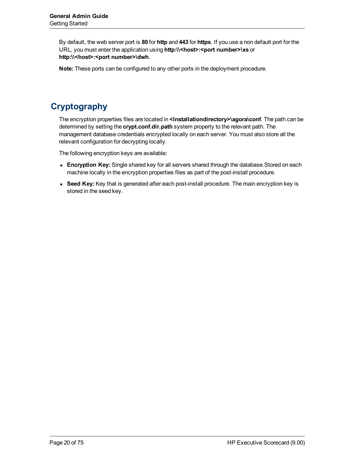By default, the web server port is **80** for **http** and **443** for **https**. If you use a non default port for the URL, you must enter the application using **http:\\<host>:<port number>\xs** or **http:\\<host>:<port number>\dwh**.

**Note:** These ports can be configured to any other ports in the deployment procedure.

# <span id="page-19-0"></span>**Cryptography**

The encryption properties files are located in **<Installationdirectory>\agora\conf**. The path can be determined by setting the **crypt.conf.dir.path** system property to the relevant path. The management database credentials encrypted locally on each server. You must also store all the relevant configuration for decrypting locally.

The following encryption keys are available:

- **Encryption Key:** Single shared key for all servers shared through the database. Stored on each machine locally in the encryption properties files as part of the post-install procedure.
- **Seed Key:** Key that is generated after each post-install procedure. The main encryption key is stored in the seed key.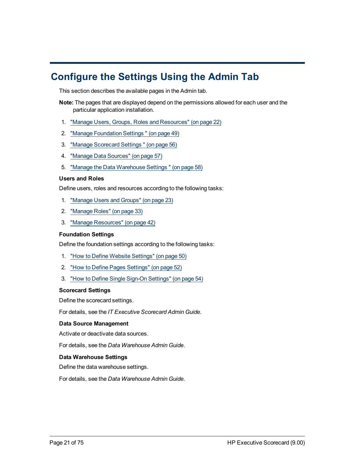# <span id="page-20-0"></span>**Configure the Settings Using the Admin Tab**

This section describes the available pages in the Admin tab.

- **Note:** The pages that are displayed depend on the permissions allowed for each user and the particular application installation.
- 1. ["Manage](#page-21-0) [Users,](#page-21-0) [Groups,](#page-21-0) [Roles](#page-21-0) [and](#page-21-0) [Resources"](#page-21-0) [\(on](#page-21-0) [page](#page-21-0) [22\)](#page-21-0)
- 2. ["Manage](#page-48-0) [Foundation](#page-48-0) [Settings](#page-48-0) ["](#page-48-0) [\(on](#page-48-0) [page](#page-48-0) [49\)](#page-48-0)
- 3. ["Manage](#page-55-0) [Scorecard](#page-55-0) [Settings](#page-55-0) ["](#page-55-0) [\(on](#page-55-0) [page](#page-55-0) [56\)](#page-55-0)
- 4. ["Manage](#page-56-0) [Data](#page-56-0) [Sources"](#page-56-0) [\(on](#page-56-0) [page](#page-56-0) [57\)](#page-56-0)
- 5. ["Manage](#page-57-0) [the](#page-57-0) [Data](#page-57-0) [Warehouse](#page-57-0) [Settings](#page-57-0) ["](#page-57-0) [\(on](#page-57-0) [page](#page-57-0) [58\)](#page-57-0)

### **Users and Roles**

Define users, roles and resources according to the following tasks:

- 1. ["Manage](#page-22-0) [Users](#page-22-0) [and](#page-22-0) [Groups"](#page-22-0) [\(on](#page-22-0) [page](#page-22-0) [23\)](#page-22-0)
- 2. ["Manage](#page-32-0) [Roles"](#page-32-0) [\(on](#page-32-0) [page](#page-32-0) [33\)](#page-32-0)
- 3. ["Manage](#page-41-0) [Resources"](#page-41-0) [\(on](#page-41-0) [page](#page-41-0) [42\)](#page-41-0)

### **Foundation Settings**

Define the foundation settings according to the following tasks:

- 1. ["How](#page-49-0) [to](#page-49-0) [Define](#page-49-0) [Website](#page-49-0) [Settings"](#page-49-0) [\(on](#page-49-0) [page](#page-49-0) [50\)](#page-49-0)
- 2. ["How](#page-51-0) [to](#page-51-0) [Define](#page-51-0) [Pages](#page-51-0) [Settings"](#page-51-0) [\(on](#page-51-0) [page](#page-51-0) [52\)](#page-51-0)
- 3. ["How](#page-53-0) [to](#page-53-0) [Define](#page-53-0) [Single](#page-53-0) [Sign-On](#page-53-0) [Settings"](#page-53-0) [\(on](#page-53-0) [page](#page-53-0) [54\)](#page-53-0)

### **Scorecard Settings**

Define the scorecard settings.

For details, see the *IT Executive Scorecard Admin Guide*.

### **Data Source Management**

Activate or deactivate data sources.

For details, see the *Data Warehouse Admin Guide*.

### **Data Warehouse Settings**

Define the data warehouse settings.

For details, see the *Data Warehouse Admin Guide*.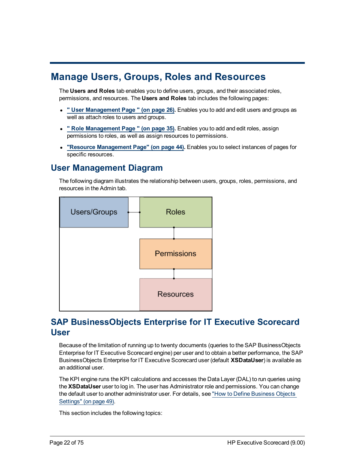# <span id="page-21-0"></span>**Manage Users, Groups, Roles and Resources**

The **Users and Roles** tab enables you to define users, groups, and their associated roles, permissions, and resources. The **Users and Roles** tab includes the following pages:

- <sup>l</sup> **["](#page-25-0) [User](#page-25-0) [Management](#page-25-0) [Page](#page-25-0) ["](#page-25-0) [\(on](#page-25-0) [page](#page-25-0) [26\).](#page-25-0)** Enables you to add and edit users and groups as well as attach roles to users and groups.
- <sup>l</sup> **["](#page-34-0) [Role](#page-34-0) [Management](#page-34-0) [Page](#page-34-0) ["](#page-34-0) [\(on](#page-34-0) [page](#page-34-0) [35\).](#page-34-0)** Enables you to add and edit roles, assign permissions to roles, as well as assign resources to permissions.
- <sup>l</sup> **["Resource](#page-43-0) [Management](#page-43-0) [Page"](#page-43-0) [\(on](#page-43-0) [page](#page-43-0) [44\)](#page-43-0).** Enables you to select instances of pages for specific resources.

# <span id="page-21-1"></span>**User Management Diagram**

The following diagram illustrates the relationship between users, groups, roles, permissions, and resources in the Admin tab.



# <span id="page-21-2"></span>**SAP BusinessObjects Enterprise for IT Executive Scorecard User**

Because of the limitation of running up to twenty documents (queries to the SAP BusinessObjects Enterprise for IT Executive Scorecard engine) per user and to obtain a better performance, the SAP BusinessObjects Enterprise for IT Executive Scorecard user (default **XSDataUser**) is available as an additional user.

The KPI engine runs the KPI calculations and accesses the Data Layer (DAL) to run queries using the **XSDataUser** user to log in. The user has Administrator role and permissions. You can change the default user to another administrator user. For details, see ["How](#page-48-1) [to](#page-48-1) [Define](#page-48-1) [Business](#page-48-1) [Objects](#page-48-1) [Settings"](#page-48-1) [\(on](#page-48-1) [page](#page-48-1) [49\)](#page-48-1).

This section includes the following topics: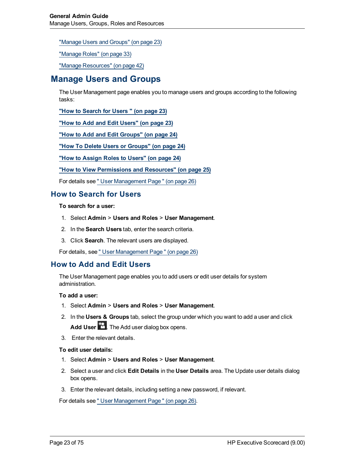["Manage](#page-22-0) [Users](#page-22-0) [and](#page-22-0) [Groups"](#page-22-0) [\(on](#page-22-0) [page](#page-22-0) [23\)](#page-22-0)

["Manage](#page-32-0) [Roles"](#page-32-0) [\(on](#page-32-0) [page](#page-32-0) [33\)](#page-32-0)

<span id="page-22-0"></span>["Manage](#page-41-0) [Resources"](#page-41-0) [\(on](#page-41-0) [page](#page-41-0) [42\)](#page-41-0)

# **Manage Users and Groups**

The User Management page enables you to manage users and groups according to the following tasks:

**["How](#page-22-1) [to](#page-22-1) [Search](#page-22-1) [for](#page-22-1) [Users](#page-22-1) ["](#page-22-1) [\(on](#page-22-1) [page](#page-22-1) [23\)](#page-22-1)**

**["How](#page-22-2) [to](#page-22-2) [Add](#page-22-2) [and](#page-22-2) [Edit](#page-22-2) [Users"](#page-22-2) [\(on](#page-22-2) [page](#page-22-2) [23\)](#page-22-2)**

**["How](#page-23-0) [to](#page-23-0) [Add](#page-23-0) [and](#page-23-0) [Edit](#page-23-0) [Groups"](#page-23-0) [\(on](#page-23-0) [page](#page-23-0) [24\)](#page-23-0)**

**["How](#page-23-1) [To](#page-23-1) [Delete](#page-23-1) [Users](#page-23-1) [or](#page-23-1) [Groups"](#page-23-1) [\(on](#page-23-1) [page](#page-23-1) [24\)](#page-23-1)**

**["How](#page-23-2) [to](#page-23-2) [Assign](#page-23-2) [Roles](#page-23-2) [to](#page-23-2) [Users"](#page-23-2) [\(on](#page-23-2) [page](#page-23-2) [24\)](#page-23-2)**

### **["How](#page-24-0) [to](#page-24-0) [View](#page-24-0) [Permissions](#page-24-0) [and](#page-24-0) [Resources"](#page-24-0) [\(on](#page-24-0) [page](#page-24-0) [25\)](#page-24-0)**

<span id="page-22-1"></span>For details see ["](#page-25-0) [User](#page-25-0) [Management](#page-25-0) [Page](#page-25-0) ["](#page-25-0) [\(on](#page-25-0) [page](#page-25-0) [26\)](#page-25-0)

### **How to Search for Users**

**To search for a user:**

- 1. Select **Admin** > **Users and Roles** > **User Management**.
- 2. In the **Search Users** tab, enter the search criteria.
- 3. Click **Search**. The relevant users are displayed.

<span id="page-22-2"></span>For details, see ["](#page-25-0) [User](#page-25-0) [Management](#page-25-0) [Page](#page-25-0) ["](#page-25-0) [\(on](#page-25-0) [page](#page-25-0) [26\)](#page-25-0)

### **How to Add and Edit Users**

The User Management page enables you to add users or edit user details for system administration.

### **To add a user:**

- 1. Select **Admin** > **Users and Roles** > **User Management**.
- 2. In the **Users & Groups** tab, select the group under which you want to add a user and click Add User **11**. The Add user dialog box opens.
- 3. Enter the relevant details.

### **To edit user details:**

- 1. Select **Admin** > **Users and Roles** > **User Management**.
- 2. Select a user and click **Edit Details** in the **User Details** area. The Update user details dialog box opens.
- 3. Enter the relevant details, including setting a new password, if relevant.

For details see ["](#page-25-0) [User](#page-25-0) [Management](#page-25-0) [Page](#page-25-0) ["](#page-25-0) [\(on](#page-25-0) [page](#page-25-0) [26\)](#page-25-0).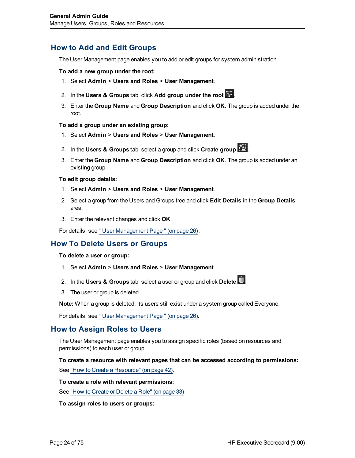## <span id="page-23-0"></span>**How to Add and Edit Groups**

The User Management page enables you to add or edit groups for system administration.

#### **To add a new group under the root:**

- 1. Select **Admin** > **Users and Roles** > **User Management**.
- 2. In the **Users & Groups** tab, click **Add group under the root** .
- 3. Enter the **Group Name** and **Group Description** and click **OK**. The group is added under the root.

#### **To add a group under an existing group:**

- 1. Select **Admin** > **Users and Roles** > **User Management**.
- 2. In the **Users & Groups** tab, select a group and click **Create group** .
- 3. Enter the **Group Name** and **Group Description** and click **OK**. The group is added under an existing group.

#### **To edit group details:**

- 1. Select **Admin** > **Users and Roles** > **User Management**.
- 2. Select a group from the Users and Groups tree and click **Edit Details** in the **Group Details** area.
- 3. Enter the relevant changes and click **OK** .

<span id="page-23-1"></span>For details, see ["](#page-25-0) [User](#page-25-0) [Management](#page-25-0) [Page](#page-25-0) ["](#page-25-0) [\(on](#page-25-0) [page](#page-25-0) [26\)](#page-25-0) .

### **How To Delete Users or Groups**

#### **To delete a user or group:**

- 1. Select **Admin** > **Users and Roles** > **User Management**.
- 2. In the **Users & Groups** tab, select a user or group and click **Delete** .
- 3. The user or group is deleted.

**Note:** When a group is deleted, its users still exist under a system group called Everyone.

<span id="page-23-2"></span>For details, see ["](#page-25-0) [User](#page-25-0) [Management](#page-25-0) [Page](#page-25-0) ["](#page-25-0) [\(on](#page-25-0) [page](#page-25-0) [26\)](#page-25-0).

### **How to Assign Roles to Users**

The User Management page enables you to assign specific roles (based on resources and permissions) to each user or group.

**To create a resource with relevant pages that can be accessed according to permissions:**

See ["How](#page-41-1) [to](#page-41-1) [Create](#page-41-1) [a](#page-41-1) [Resource"](#page-41-1) [\(on](#page-41-1) [page](#page-41-1) [42\).](#page-41-1)

### **To create a role with relevant permissions:**

See ["How](#page-32-1) [to](#page-32-1) [Create](#page-32-1) [or](#page-32-1) [Delete](#page-32-1) [a](#page-32-1) [Role"](#page-32-1) [\(on](#page-32-1) [page](#page-32-1) [33\)](#page-32-1)

**To assign roles to users or groups:**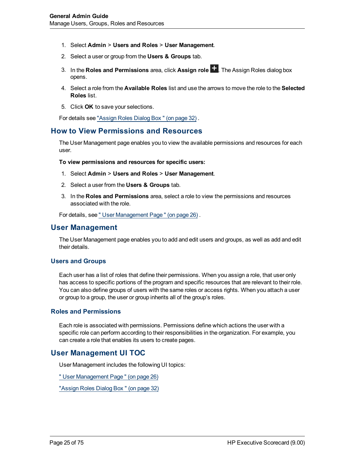- 1. Select **Admin** > **Users and Roles** > **User Management**.
- 2. Select a user or group from the **Users & Groups** tab.
- 3. In the **Roles and Permissions** area, click **Assign role** . The Assign Roles dialog box opens.
- 4. Select a role from the **Available Roles** list and use the arrows to move the role to the **Selected Roles** list.
- 5. Click **OK** to save your selections.

<span id="page-24-0"></span>For details see ["Assign](#page-31-0) [Roles](#page-31-0) [Dialog](#page-31-0) [Box](#page-31-0) ["](#page-31-0) [\(on](#page-31-0) [page](#page-31-0) [32\)](#page-31-0) .

### **How to View Permissions and Resources**

The User Management page enables you to view the available permissions and resources for each user.

**To view permissions and resources for specific users:**

- 1. Select **Admin** > **Users and Roles** > **User Management**.
- 2. Select a user from the **Users & Groups** tab.
- 3. In the **Roles and Permissions** area, select a role to view the permissions and resources associated with the role.

<span id="page-24-1"></span>For details, see ["](#page-25-0) [User](#page-25-0) [Management](#page-25-0) [Page](#page-25-0) ["](#page-25-0) [\(on](#page-25-0) [page](#page-25-0) [26\)](#page-25-0) .

### **User Management**

The User Management page enables you to add and edit users and groups, as well as add and edit their details.

### <span id="page-24-2"></span>**Users and Groups**

Each user has a list of roles that define their permissions. When you assign a role, that user only has access to specific portions of the program and specific resources that are relevant to their role. You can also define groups of users with the same roles or access rights. When you attach a user or group to a group, the user or group inherits all of the group's roles.

### <span id="page-24-3"></span>**Roles and Permissions**

Each role is associated with permissions. Permissions define which actions the user with a specific role can perform according to their responsibilities in the organization. For example, you can create a role that enables its users to create pages.

### <span id="page-24-4"></span>**User Management UI TOC**

User Management includes the following UI topics:

["](#page-25-0) [User](#page-25-0) [Management](#page-25-0) [Page](#page-25-0) ["](#page-25-0) [\(on](#page-25-0) [page](#page-25-0) [26\)](#page-25-0)

["Assign](#page-31-0) [Roles](#page-31-0) [Dialog](#page-31-0) [Box](#page-31-0) ["](#page-31-0) [\(on](#page-31-0) [page](#page-31-0) [32\)](#page-31-0)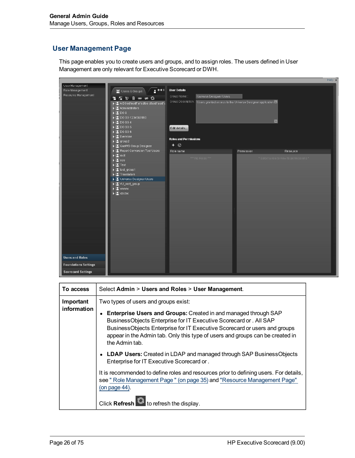# <span id="page-25-0"></span>**User Management Page**

This page enables you to create users and groups, and to assign roles. The users defined in User Management are only relevant for Executive Scorecard or DWH.

|                                                                                                                                                                                                                                                                                                                                                                                                                                    |                                                                                                                                                                                                                                                                                                                                                                                                                                                                                                       |                                                                                                                                                                                                                                                    |            | Help $\times$                                         |
|------------------------------------------------------------------------------------------------------------------------------------------------------------------------------------------------------------------------------------------------------------------------------------------------------------------------------------------------------------------------------------------------------------------------------------|-------------------------------------------------------------------------------------------------------------------------------------------------------------------------------------------------------------------------------------------------------------------------------------------------------------------------------------------------------------------------------------------------------------------------------------------------------------------------------------------------------|----------------------------------------------------------------------------------------------------------------------------------------------------------------------------------------------------------------------------------------------------|------------|-------------------------------------------------------|
| User Management<br>$2 + 1$<br>Role Management<br>Users & Groups<br>Resource Management<br><b>* 程序面面对象</b><br>A DGsdfasdff af sdfas dfasdf asdf a<br>Administrators<br>$\blacktriangleright$ 2.1 DG 9<br>$\triangleright$ 2 DG SG 1234567890<br>$\triangleright$ (2) DG SG 4<br>$\triangleright$ (2) DG SG 5<br>$\blacktriangleright$ (2) DG SG 6<br>> 2 Everyone<br>$\blacktriangleright$ [2] group 2<br>Call QaaWS Group Designer |                                                                                                                                                                                                                                                                                                                                                                                                                                                                                                       | <b>User Details</b><br>Group Name:<br>Universe Designer Users<br>Group Description:<br>Users granted access to the Universe Designer application $\Box$<br>$\overline{\phantom{0}}$<br>Edit details<br><b>Roles and Permissions</b><br>$+$ $\circ$ |            |                                                       |
|                                                                                                                                                                                                                                                                                                                                                                                                                                    | Report Conversion Tool Users<br>$\blacktriangleright$ $\begin{bmatrix} 2 \\ 4 \end{bmatrix}$ root<br>$\blacktriangleright$ [X] sss.<br>$\blacktriangleright$ [3] Test<br>$\blacktriangleright$ [2] test_group1<br>$\blacktriangleright$ $\left[\begin{array}{c} \bullet \\ \bullet \end{array}\right]$ Translators<br>Universe Designer Users<br>▶ 2 VU_root_group<br>$\blacktriangleright$ $\left[ \mathbf{S} \right]$ www.w<br>$\blacktriangleright$ $\begin{bmatrix} 0 \\ 0 \end{bmatrix}$ x2xc2xc | Role name<br>*** No Roles ***                                                                                                                                                                                                                      | Permission | Resource<br>* Select a role to view its permissions * |
| <b>Users and Roles</b><br><b>Foundations Settings</b><br><b>Scorecard Settings</b>                                                                                                                                                                                                                                                                                                                                                 |                                                                                                                                                                                                                                                                                                                                                                                                                                                                                                       |                                                                                                                                                                                                                                                    |            |                                                       |

| To access   | Select Admin > Users and Roles > User Management.                                                                                                                                                                                                                                                                     |  |
|-------------|-----------------------------------------------------------------------------------------------------------------------------------------------------------------------------------------------------------------------------------------------------------------------------------------------------------------------|--|
| Important   | Two types of users and groups exist:                                                                                                                                                                                                                                                                                  |  |
| information | Enterprise Users and Groups: Created in and managed through SAP<br>BusinessObjects Enterprise for IT Executive Scorecard or . All SAP<br>BusinessObjects Enterprise for IT Executive Scorecard or users and groups<br>appear in the Admin tab. Only this type of users and groups can be created in<br>the Admin tab. |  |
|             | <b>LDAP Users:</b> Created in LDAP and managed through SAP BusinessObjects<br>Enterprise for IT Executive Scorecard or.                                                                                                                                                                                               |  |
|             | It is recommended to define roles and resources prior to defining users. For details,<br>see " Role Management Page " (on page 35) and "Resource Management Page"<br>$($ on page 44 $).$                                                                                                                              |  |
|             | to refresh the display.<br><b>Click Refresh</b>                                                                                                                                                                                                                                                                       |  |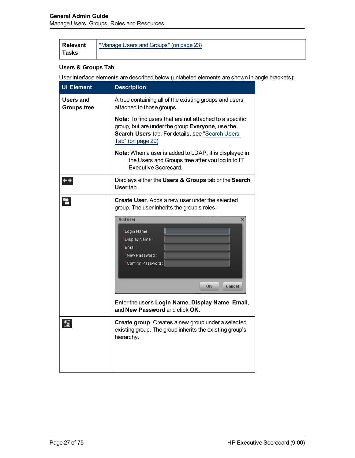| Relevant | "Manage Users and Groups" (on page 23) |
|----------|----------------------------------------|
| Tasks    |                                        |

### **Users & Groups Tab**

| <b>UI Element</b>               | <b>Description</b>                                                                                                                                                                   |  |
|---------------------------------|--------------------------------------------------------------------------------------------------------------------------------------------------------------------------------------|--|
| Users and<br><b>Groups tree</b> | A tree containing all of the existing groups and users<br>attached to those groups.                                                                                                  |  |
|                                 | Note: To find users that are not attached to a specific<br>group, but are under the group Everyone, use the<br>Search Users tab. For details, see "Search Users<br>Tab" (on page 29) |  |
|                                 | Note: When a user is added to LDAP, it is displayed in<br>the Users and Groups tree after you log in to IT<br>Executive Scorecard.                                                   |  |
| $\leftrightarrow$               | Displays either the Users & Groups tab or the Search<br>User tab.                                                                                                                    |  |
| *e                              | <b>Create User.</b> Adds a new user under the selected<br>group. The user inherits the group's roles.<br><b>Add user</b><br>×                                                        |  |
|                                 | 'Login Name :<br>Display Name :<br>Email:<br>New Password:<br>Confirm Password :                                                                                                     |  |
|                                 | OK<br>Cancel                                                                                                                                                                         |  |
|                                 | Enter the user's Login Name, Display Name, Email,<br>and New Password and click OK.                                                                                                  |  |
| $\mathbf{z}$                    | Create group. Creates a new group under a selected<br>existing group. The group inherits the existing group's<br>hierarchy.                                                          |  |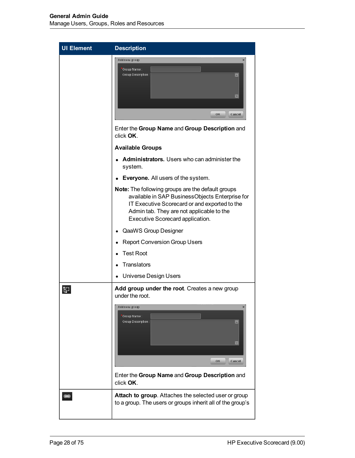| <b>UI Element</b> | <b>Description</b>                                                                                                                                                                                                                            |  |
|-------------------|-----------------------------------------------------------------------------------------------------------------------------------------------------------------------------------------------------------------------------------------------|--|
|                   | Add new group<br>Group Name :<br>Group Description:<br>$\left  \rule{0.2cm}{0.2cm} \right $<br>$\overline{\mathbf{v}}$<br>Cancel<br>OK                                                                                                        |  |
|                   | Enter the Group Name and Group Description and<br>click OK.                                                                                                                                                                                   |  |
|                   | <b>Available Groups</b>                                                                                                                                                                                                                       |  |
|                   | Administrators. Users who can administer the<br>system.                                                                                                                                                                                       |  |
|                   | Everyone. All users of the system.                                                                                                                                                                                                            |  |
|                   | <b>Note:</b> The following groups are the default groups<br>available in SAP BusinessObjects Enterprise for<br>IT Executive Scorecard or and exported to the<br>Admin tab. They are not applicable to the<br>Executive Scorecard application. |  |
|                   | QaaWS Group Designer                                                                                                                                                                                                                          |  |
|                   | <b>Report Conversion Group Users</b>                                                                                                                                                                                                          |  |
|                   | <b>Test Root</b>                                                                                                                                                                                                                              |  |
|                   | Translators                                                                                                                                                                                                                                   |  |
|                   | <b>Universe Design Users</b>                                                                                                                                                                                                                  |  |
| E.                | Add group under the root. Creates a new group<br>under the root.                                                                                                                                                                              |  |
|                   | Add new group<br>Group Name :<br>Group Description:<br>$\left  \rule{0.2cm}{0.2cm} \right $<br>$\overline{\mathbf{v}}$<br>OK<br>Cancel<br>Enter the Group Name and Group Description and                                                      |  |
|                   | click OK.                                                                                                                                                                                                                                     |  |
|                   | Attach to group. Attaches the selected user or group<br>to a group. The users or groups inherit all of the group's                                                                                                                            |  |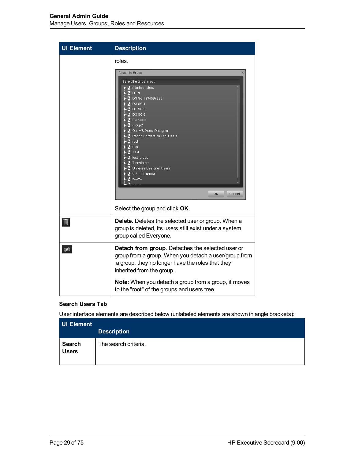| <b>UI Element</b> | <b>Description</b>                                                                                                                                                                                                                                                                                                           |  |
|-------------------|------------------------------------------------------------------------------------------------------------------------------------------------------------------------------------------------------------------------------------------------------------------------------------------------------------------------------|--|
|                   | roles.<br>Attach to Group<br>$\times$<br>Select the target group<br>$\blacktriangleright$ $\mathbb{Z}$ Administrators<br>-BIDG 9<br>$\sqrt{2}$ DG SG 1234567890<br>$\mathbb{R}$ DG SG 4<br><b>EDGSG5</b><br>$\mathbb{E}$ DG SG 6<br><b>E</b> veryone<br>$\mathbb{Z}$ group 2<br>् <mark>ष्ट्र</mark> े QaaVVS Group Designer |  |
|                   | Report Conversion Tool Users<br>-∭al root<br>⊹ <mark>&amp;</mark> sss<br>ं <mark>थ</mark> Test<br>⊶[ <mark>3]</mark> test_group1<br><b>A</b> Translators<br>图 Universe Designer Users<br>{ <mark>X</mark> } VU_root_group<br><b>E</b> www.w<br><b>Common</b><br>OK<br>Cancel<br>Select the group and click OK.               |  |
| 画                 | Delete. Deletes the selected user or group. When a<br>group is deleted, its users still exist under a system<br>group called Everyone.                                                                                                                                                                                       |  |
| ණ                 | Detach from group. Detaches the selected user or<br>group from a group. When you detach a user/group from<br>a group, they no longer have the roles that they<br>inherited from the group.                                                                                                                                   |  |
|                   | Note: When you detach a group from a group, it moves<br>to the "root" of the groups and users tree.                                                                                                                                                                                                                          |  |

### <span id="page-28-0"></span>**Search Users Tab**

| <b>UI Element</b>      | <b>Description</b>   |
|------------------------|----------------------|
| Search<br><b>Users</b> | The search criteria. |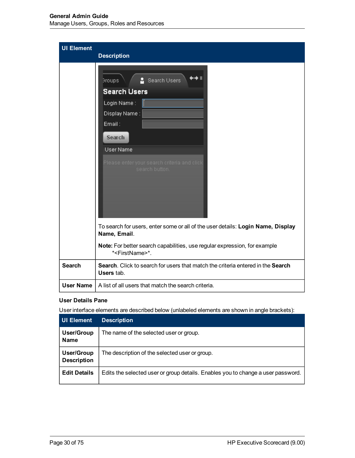| <b>UI Element</b> | <b>Description</b>                                                                                                                                                                            |
|-------------------|-----------------------------------------------------------------------------------------------------------------------------------------------------------------------------------------------|
|                   | <b>&amp;</b> Search Users<br>Broups.<br><b>Search Users</b><br>Login Name:<br>Display Name:<br>Email:<br>Search<br>User Name<br>Please enter your search criteria and click<br>search button. |
|                   | To search for users, enter some or all of the user details: Login Name, Display<br>Name, Email.                                                                                               |
|                   | Note: For better search capabilities, use regular expression, for example<br>* <firstname>*.</firstname>                                                                                      |
| <b>Search</b>     | Search. Click to search for users that match the criteria entered in the Search<br>Users tab.                                                                                                 |
| <b>User Name</b>  | A list of all users that match the search criteria.                                                                                                                                           |

### **User Details Pane**

| <b>UI Element</b>                       | <b>Description</b>                                                               |
|-----------------------------------------|----------------------------------------------------------------------------------|
| User/Group<br><b>Name</b>               | The name of the selected user or group.                                          |
| <b>User/Group</b><br><b>Description</b> | The description of the selected user or group.                                   |
| <b>Edit Details</b>                     | Edits the selected user or group details. Enables you to change a user password. |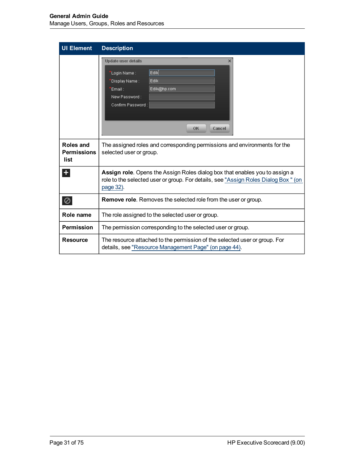| <b>UI Element</b>                       | <b>Description</b>                                                                                                                                                                     |  |
|-----------------------------------------|----------------------------------------------------------------------------------------------------------------------------------------------------------------------------------------|--|
|                                         | <b>Update user details</b><br>×<br>Edik<br>'Login Name :<br><b>Edik</b><br>Display Name :<br>Edik@hp.com<br>Email:<br>New Password:<br>Confirm Password:                               |  |
|                                         | OK<br>Cancel                                                                                                                                                                           |  |
| Roles and<br><b>Permissions</b><br>list | The assigned roles and corresponding permissions and environments for the<br>selected user or group.                                                                                   |  |
| $+$                                     | <b>Assign role</b> . Opens the Assign Roles dialog box that enables you to assign a<br>role to the selected user or group. For details, see "Assign Roles Dialog Box" (on<br>page 32). |  |
| 0                                       | <b>Remove role.</b> Removes the selected role from the user or group.                                                                                                                  |  |
| Role name                               | The role assigned to the selected user or group.                                                                                                                                       |  |
| <b>Permission</b>                       | The permission corresponding to the selected user or group.                                                                                                                            |  |
| <b>Resource</b>                         | The resource attached to the permission of the selected user or group. For<br>details, see "Resource Management Page" (on page 44).                                                    |  |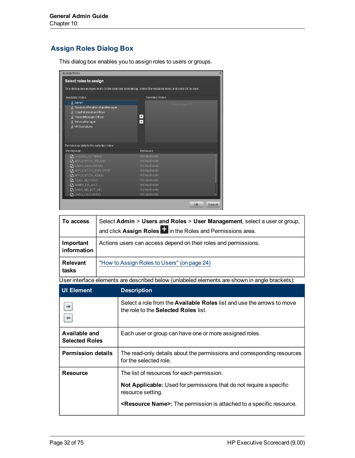# <span id="page-31-0"></span>**Assign Roles Dialog Box**

This dialog box enables you to assign roles to users or groups.

| <b>Assign Roles</b>                                                                                       | $\mathsf{x}$                     |
|-----------------------------------------------------------------------------------------------------------|----------------------------------|
| Select roles to assign                                                                                    |                                  |
| This dialog box assigns roles to the selected user/group. Select the required roles and click OK to save. |                                  |
|                                                                                                           |                                  |
| Available Roles                                                                                           | <b>Selected Roles</b>            |
| ලි Admin                                                                                                  | *** No Roles ***                 |
| & BusinessRelationshipsManager                                                                            |                                  |
| & ChiefInformationOfficer<br>& ProjectManagerOfficer                                                      | $\rightarrow$                    |
| & ServiceManager                                                                                          | $\overline{a}$                   |
| & VPOperations                                                                                            |                                  |
|                                                                                                           |                                  |
|                                                                                                           |                                  |
|                                                                                                           |                                  |
| Permission details for selected roles:                                                                    |                                  |
| Permission                                                                                                | Resource                         |
| Ch UPDATE_SETTINGS                                                                                        | Not Applicable                   |
| <b>T</b> APPLICATION_STUDIO                                                                               | Not Applicable                   |
| $\Gamma$ dash_annotation                                                                                  | Not Applicable                   |
| <b>T</b> APPLICATION EXPLORER                                                                             | Not Applicable                   |
| $\nabla$ <sub>1</sub> application_admin                                                                   | Not Applicable                   |
| <b>D</b> READ_SETTINGS                                                                                    | Not Applicable<br>Not Applicable |
| <b>♪</b> ADMIN_DS_MNG<br>Ӷ <mark>ӆ</mark> ҅ dash_select_kPi                                               | Not Applicable                   |
| <b>♪</b> DASH_CASCADING                                                                                   | Not Applicable                   |
|                                                                                                           |                                  |
|                                                                                                           | OK<br>Cancel                     |

| To access                | Select Admin > Users and Roles > User Management, select a user or group,<br>and click Assign Roles <sup>++</sup> in the Roles and Permissions area. |
|--------------------------|------------------------------------------------------------------------------------------------------------------------------------------------------|
| Important<br>information | Actions users can access depend on their roles and permissions.                                                                                      |
| <b>Relevant</b><br>tasks | "How to Assign Roles to Users" (on page 24)                                                                                                          |

| UI Element                             | <b>Description</b>                                                                                                           |
|----------------------------------------|------------------------------------------------------------------------------------------------------------------------------|
|                                        | Select a role from the <b>Available Roles</b> list and use the arrows to move<br>the role to the <b>Selected Roles</b> list. |
| Available and<br><b>Selected Roles</b> | Each user or group can have one or more assigned roles.                                                                      |
| <b>Permission details</b>              | The read-only details about the permissions and corresponding resources<br>for the selected role.                            |
| <b>Resource</b>                        | The list of resources for each permission.                                                                                   |
|                                        | Not Applicable: Used for permissions that do not require a specific<br>resource setting.                                     |
|                                        | <b><resource name="">:</resource></b> The permission is attached to a specific resource.                                     |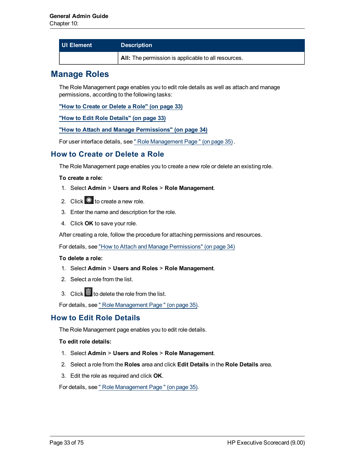| UI Element | <b>Description</b>                                  |
|------------|-----------------------------------------------------|
|            | All: The permission is applicable to all resources. |

# <span id="page-32-0"></span>**Manage Roles**

The Role Management page enables you to edit role details as well as attach and manage permissions, according to the following tasks:

**["How](#page-32-1) [to](#page-32-1) [Create](#page-32-1) [or](#page-32-1) [Delete](#page-32-1) [a](#page-32-1) [Role"](#page-32-1) [\(on](#page-32-1) [page](#page-32-1) [33\)](#page-32-1)**

**["How](#page-32-2) [to](#page-32-2) [Edit](#page-32-2) [Role](#page-32-2) [Details"](#page-32-2) [\(on](#page-32-2) [page](#page-32-2) [33\)](#page-32-2)**

### **["How](#page-33-0) [to](#page-33-0) [Attach](#page-33-0) [and](#page-33-0) [Manage](#page-33-0) [Permissions"](#page-33-0) [\(on](#page-33-0) [page](#page-33-0) [34\)](#page-33-0)**

<span id="page-32-1"></span>For user interface details, see ["](#page-34-0) [Role](#page-34-0) [Management](#page-34-0) [Page](#page-34-0) ["](#page-34-0) [\(on](#page-34-0) [page](#page-34-0) [35\)](#page-34-0) .

### **How to Create or Delete a Role**

The Role Management page enables you to create a new role or delete an existing role.

### **To create a role:**

- 1. Select **Admin** > **Users and Roles** > **Role Management**.
- 2. Click  $*$  to create a new role.
- 3. Enter the name and description for the role.
- 4. Click **OK** to save your role.

After creating a role, follow the procedure for attaching permissions and resources.

For details, see ["How](#page-33-0) [to](#page-33-0) [Attach](#page-33-0) [and](#page-33-0) [Manage](#page-33-0) [Permissions"](#page-33-0) [\(on](#page-33-0) [page](#page-33-0) [34\)](#page-33-0)

### **To delete a role:**

- 1. Select **Admin** > **Users and Roles** > **Role Management**.
- 2. Select a role from the list.
- 3. Click  $\blacksquare$  to delete the role from the list.

<span id="page-32-2"></span>For details, see ["](#page-34-0) [Role](#page-34-0) [Management](#page-34-0) [Page](#page-34-0) " [\(on](#page-34-0) [page](#page-34-0) [35\)](#page-34-0).

## **How to Edit Role Details**

The Role Management page enables you to edit role details.

### **To edit role details:**

- 1. Select **Admin** > **Users and Roles** > **Role Management**.
- 2. Select a role from the **Roles** area and click **Edit Details** in the **Role Details** area.
- 3. Edit the role as required and click **OK**.

For details, see ["](#page-34-0) [Role](#page-34-0) [Management](#page-34-0) [Page](#page-34-0) ["](#page-34-0) [\(on](#page-34-0) [page](#page-34-0) [35\)](#page-34-0).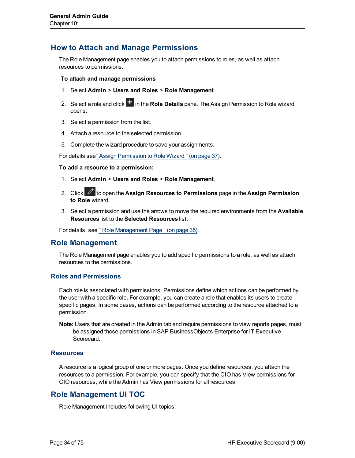## <span id="page-33-0"></span>**How to Attach and Manage Permissions**

The Role Management page enables you to attach permissions to roles, as well as attach resources to permissions.

### **To attach and manage permissions**

- 1. Select **Admin** > **Users and Roles** > **Role Management**.
- 2. Select a role and click  $\mathbf{t}$  in the **Role Details** pane. The Assign Permission to Role wizard opens.
- 3. Select a permission from the list.
- 4. Attach a resource to the selected permission.
- 5. Complete the wizard procedure to save your assignments.

For details se[e"](#page-36-0) [Assign](#page-36-0) [Permission](#page-36-0) [to](#page-36-0) [Role](#page-36-0) [Wizard](#page-36-0) ["](#page-36-0) [\(on](#page-36-0) [page](#page-36-0) [37\).](#page-36-0)

### **To add a resource to a permission:**

- 1. Select **Admin** > **Users and Roles** > **Role Management**.
- 2. Click **to open the Assign Resources to Permissions** page in the Assign Permission **to Role** wizard.
- 3. Select a permission and use the arrows to move the required environments from the **Available Resources** list to the **Selected Resources** list.

<span id="page-33-1"></span>For details, see ["](#page-34-0) [Role](#page-34-0) [Management](#page-34-0) [Page](#page-34-0) " [\(on](#page-34-0) [page](#page-34-0) [35\)](#page-34-0).

## **Role Management**

The Role Management page enables you to add specific permissions to a role, as well as attach resources to the permissions.

### <span id="page-33-2"></span>**Roles and Permissions**

Each role is associated with permissions. Permissions define which actions can be performed by the user with a specific role. For example, you can create a role that enables its users to create specific pages. In some cases, actions can be performed according to the resource attached to a permission.

**Note:** Users that are created in the Admin tab and require permissions to view reports pages, must be assigned those permissions in SAP BusinessObjects Enterprise for IT Executive Scorecard.

### <span id="page-33-3"></span>**Resources**

A resource is a logical group of one or more pages. Once you define resources, you attach the resources to a permission. For example, you can specify that the CIO has View permissions for CIO resources, while the Admin has View permissions for all resources.

### <span id="page-33-4"></span>**Role Management UI TOC**

Role Management includes following UI topics: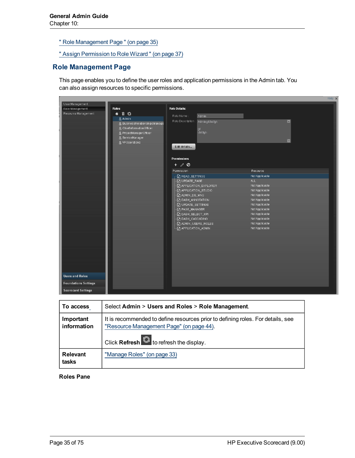["](#page-34-0) [Role](#page-34-0) [Management](#page-34-0) [Page](#page-34-0) ["](#page-34-0) [\(on](#page-34-0) [page](#page-34-0) [35\)](#page-34-0)

["](#page-36-0) [Assign](#page-36-0) [Permission](#page-36-0) [to](#page-36-0) [Role](#page-36-0) [Wizard](#page-36-0) " [\(on](#page-36-0) [page](#page-36-0) [37\)](#page-36-0)

### <span id="page-34-0"></span>**Role Management Page**

This page enables you to define the user roles and application permissions in the Admin tab. You can also assign resources to specific permissions.

|                             |                                             |                                          | Help >                           |
|-----------------------------|---------------------------------------------|------------------------------------------|----------------------------------|
| User Management             |                                             |                                          |                                  |
| Role Management             | <b>Roles</b>                                | <b>Role Details:</b>                     |                                  |
| Resource Management         | $*$ 0 $\circ$                               | Role Name:<br>Admin                      |                                  |
|                             | 음 Admin                                     | Role Description<br>Admingfdhdfgh        | $\boxed{\blacksquare}$           |
|                             | & BusinessRelationshipsManage               |                                          |                                  |
|                             | & ChiefInformationOfficer                   | gř<br>dhřdgh                             |                                  |
|                             | & ProjectManagerOfficer<br>& ServiceManager |                                          |                                  |
|                             | & VPOperations                              |                                          | $\boxed{\blacksquare}$           |
|                             |                                             | Edit details                             |                                  |
|                             |                                             |                                          |                                  |
|                             |                                             |                                          |                                  |
|                             |                                             | <b>Permissions</b>                       |                                  |
|                             |                                             | $+ 00$                                   |                                  |
|                             |                                             | Permission                               | Resource                         |
|                             |                                             | <b>ED READ_SETTINGS</b>                  | Not Applicable                   |
|                             |                                             | Ch UPDATE_PAGE                           | ALL.                             |
|                             |                                             | APPLICATION_EXPLORER                     | Not Applicable                   |
|                             |                                             | C APPLICATION_STUDIO                     | Not Applicable                   |
|                             |                                             | └♪ ADMIN_DS_MNG                          | Not Applicable                   |
|                             |                                             | C DASH_ANNOTATION                        | Not Applicable                   |
|                             |                                             | C UPDATE_SETTINGS                        | Not Applicable                   |
|                             |                                             | C <sub>1</sub> PAGE_MANAGER              | Not Applicable                   |
|                             |                                             | └』DASH_SELECT_KPI                        | Not Applicable                   |
|                             |                                             | └□ DASH_CASCADING<br>└ ADMIN_USERS_ROLES | Not Applicable<br>Not Applicable |
|                             |                                             | - happlication_admin                     | Not Applicable                   |
|                             |                                             |                                          |                                  |
|                             |                                             |                                          |                                  |
|                             |                                             |                                          |                                  |
|                             |                                             |                                          |                                  |
|                             |                                             |                                          |                                  |
|                             |                                             |                                          |                                  |
|                             |                                             |                                          |                                  |
|                             |                                             |                                          |                                  |
|                             |                                             |                                          |                                  |
| <b>Users and Roles</b>      |                                             |                                          |                                  |
| <b>Foundations Settings</b> |                                             |                                          |                                  |
| <b>Scorecard Settings</b>   |                                             |                                          |                                  |

| To access                | Select Admin > Users and Roles > Role Management.                                                                                                                             |  |
|--------------------------|-------------------------------------------------------------------------------------------------------------------------------------------------------------------------------|--|
| Important<br>information | It is recommended to define resources prior to defining roles. For details, see<br>"Resource Management Page" (on page 44).<br>Click Refresh <b>C</b> to refresh the display. |  |
| Relevant<br>tasks        | "Manage Roles" (on page 33)                                                                                                                                                   |  |

### **Roles Pane**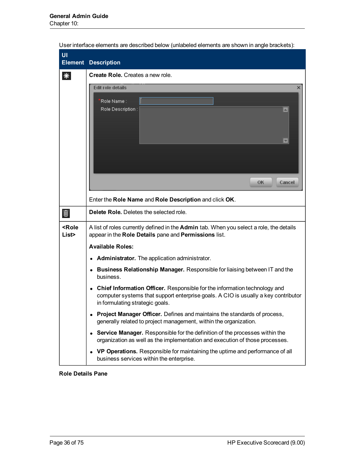| UI<br><b>Element</b>        | <b>Description</b>                                                                                                                                                                                              |
|-----------------------------|-----------------------------------------------------------------------------------------------------------------------------------------------------------------------------------------------------------------|
| ⋇                           | <b>Create Role.</b> Creates a new role.                                                                                                                                                                         |
|                             | Edit role details<br>×<br>Role Name :<br>Role Description:<br>$\leftarrow$<br>$\overline{\mathbf{v}}$<br>0K.<br>Cancel                                                                                          |
|                             | Enter the Role Name and Role Description and click OK.                                                                                                                                                          |
| 画                           | Delete Role. Deletes the selected role.                                                                                                                                                                         |
| <role<br>List&gt;</role<br> | A list of roles currently defined in the Admin tab. When you select a role, the details<br>appear in the Role Details pane and Permissions list.<br><b>Available Roles:</b>                                     |
|                             | Administrator. The application administrator.<br>٠                                                                                                                                                              |
|                             | <b>Business Relationship Manager.</b> Responsible for liaising between IT and the<br>business.                                                                                                                  |
|                             | Chief Information Officer. Responsible for the information technology and<br>$\bullet$<br>computer systems that support enterprise goals. A CIO is usually a key contributor<br>in formulating strategic goals. |
|                             | Project Manager Officer. Defines and maintains the standards of process,<br>generally related to project management, within the organization.                                                                   |
|                             | Service Manager. Responsible for the definition of the processes within the<br>$\bullet$<br>organization as well as the implementation and execution of those processes.                                        |
|                             | VP Operations. Responsible for maintaining the uptime and performance of all<br>business services within the enterprise.                                                                                        |

User interface elements are described below (unlabeled elements are shown in angle brackets):

**Role Details Pane**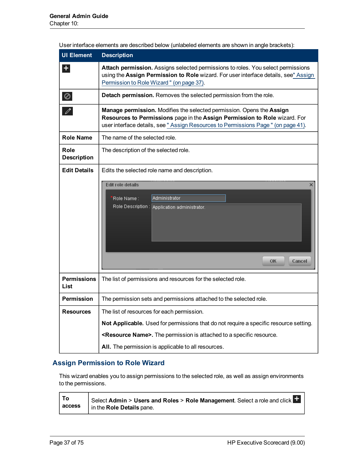| <b>UI Element</b>          | <b>Description</b>                                                                                                                                                                                                                        |  |
|----------------------------|-------------------------------------------------------------------------------------------------------------------------------------------------------------------------------------------------------------------------------------------|--|
| +                          | Attach permission. Assigns selected permissions to roles. You select permissions<br>using the Assign Permission to Role wizard. For user interface details, see" Assign<br>Permission to Role Wizard " (on page 37).                      |  |
| ⊘                          | Detach permission. Removes the selected permission from the role.                                                                                                                                                                         |  |
| v                          | Manage permission. Modifies the selected permission. Opens the Assign<br>Resources to Permissions page in the Assign Permission to Role wizard. For<br>user interface details, see " Assign Resources to Permissions Page " (on page 41). |  |
| <b>Role Name</b>           | The name of the selected role.                                                                                                                                                                                                            |  |
| Role<br><b>Description</b> | The description of the selected role.                                                                                                                                                                                                     |  |
| <b>Edit Details</b>        | Edits the selected role name and description.<br>Edit role details<br>×<br>Administrator<br>Role Name :<br>Role Description : Application administrator.<br>ОK<br>Cancel                                                                  |  |
| <b>Permissions</b><br>List | The list of permissions and resources for the selected role.                                                                                                                                                                              |  |
| <b>Permission</b>          | The permission sets and permissions attached to the selected role.                                                                                                                                                                        |  |
| <b>Resources</b>           | The list of resources for each permission.                                                                                                                                                                                                |  |
|                            | Not Applicable. Used for permissions that do not require a specific resource setting.                                                                                                                                                     |  |
|                            | <resource name="">. The permission is attached to a specific resource.</resource>                                                                                                                                                         |  |
|                            | All. The permission is applicable to all resources.                                                                                                                                                                                       |  |

User interface elements are described below (unlabeled elements are shown in angle brackets):

### <span id="page-36-0"></span>**Assign Permission to Role Wizard**

This wizard enables you to assign permissions to the selected role, as well as assign environments to the permissions.

| To | Select Admin > Users and Roles > Role Management. Select a role and click |
|----|---------------------------------------------------------------------------|
|    | access   in the Role Details pane.                                        |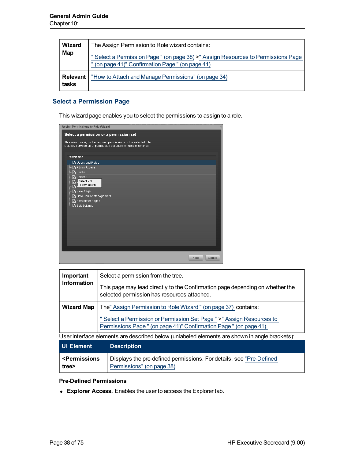| <b>Wizard</b><br>Map | The Assign Permission to Role wizard contains:<br>" Select a Permission Page " (on page 38) >" Assign Resources to Permissions Page<br>" (on page 41)" Confirmation Page " (on page 41) |
|----------------------|-----------------------------------------------------------------------------------------------------------------------------------------------------------------------------------------|
| Relevant<br>tasks    | "How to Attach and Manage Permissions" (on page 34)                                                                                                                                     |

### <span id="page-37-0"></span>**Select a Permission Page**

This wizard page enables you to select the permissions to assign to a role.

| <b>Assign Permissions to Role Wizard</b>                                                                                                | ×              |
|-----------------------------------------------------------------------------------------------------------------------------------------|----------------|
| Select a permission or a permission set                                                                                                 |                |
| This wizard assigns the required permissions to the selected role.<br>Select a permission or permission set and click Next to continue. |                |
| Permission                                                                                                                              |                |
| ■ Users and Roles                                                                                                                       |                |
| Ch Admin Access                                                                                                                         |                |
| Ch Studio                                                                                                                               |                |
| Ch Select KPI<br>Select KPI<br>D,<br>(Permission)<br>M<br>「Ch View Page                                                                 |                |
| Data Source Management                                                                                                                  |                |
| Ch Administer Pages                                                                                                                     |                |
| Ch Edit Settings                                                                                                                        |                |
|                                                                                                                                         |                |
|                                                                                                                                         |                |
|                                                                                                                                         |                |
|                                                                                                                                         |                |
|                                                                                                                                         |                |
|                                                                                                                                         |                |
|                                                                                                                                         |                |
|                                                                                                                                         | Next<br>Cancel |
|                                                                                                                                         |                |

| Important                                                                                                                                   | Select a permission from the tree.                                                                                           |  |
|---------------------------------------------------------------------------------------------------------------------------------------------|------------------------------------------------------------------------------------------------------------------------------|--|
| <b>Information</b>                                                                                                                          | This page may lead directly to the Confirmation page depending on whether the<br>selected permission has resources attached. |  |
| <b>Wizard Map</b>                                                                                                                           | The" Assign Permission to Role Wizard" (on page 37) contains:                                                                |  |
| " Select a Permission or Permission Set Page " >" Assign Resources to<br>Permissions Page " (on page 41)" Confirmation Page " (on page 41). |                                                                                                                              |  |
| User interface elements are described below (unlabeled elements are shown in angle brackets):                                               |                                                                                                                              |  |
| <b>UI Element</b>                                                                                                                           | <b>Description</b>                                                                                                           |  |
| <b><permissions< b=""><br/>Displays the pre-defined permissions. For details, see "Pre-Defined"</permissions<></b>                          |                                                                                                                              |  |

#### <span id="page-37-1"></span>**Pre-Defined Permissions**

**Explorer Access.** Enables the user to access the Explorer tab.

[Permissions"](#page-37-1) [\(on](#page-37-1) [page](#page-37-1) [38\)](#page-37-1).

**tree>**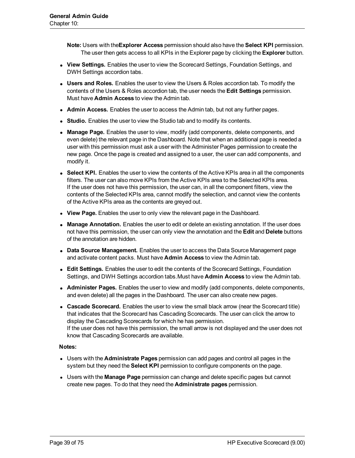**Note:** Users with the**Explorer Access** permission should also have the **Select KPI** permission. The user then gets access to all KPIs in the Explorer page by clicking the **Explorer** button.

- **View Settings.** Enables the user to view the Scorecard Settings, Foundation Settings, and DWH Settings accordion tabs.
- **Users and Roles.** Enables the user to view the Users & Roles accordion tab. To modify the contents of the Users & Roles accordion tab, the user needs the **Edit Settings** permission. Must have **Admin Access** to view the Admin tab.
- **Admin Access.** Enables the user to access the Admin tab, but not any further pages.
- **Studio.** Enables the user to view the Studio tab and to modify its contents.
- **Manage Page.** Enables the user to view, modify (add components, delete components, and even delete) the relevant page in the Dashboard. Note that when an additional page is needed a user with this permission must ask a user with the Administer Pages permission to create the new page. Once the page is created and assigned to a user, the user can add components, and modify it.
- **Select KPI.** Enables the user to view the contents of the Active KPIs area in all the components filters. The user can also move KPIs from the Active KPIs area to the Selected KPIs area. If the user does not have this permission, the user can, in all the component filters, view the contents of the Selected KPIs area, cannot modify the selection, and cannot view the contents of the Active KPIs area as the contents are greyed out.
- **View Page.** Enables the user to only view the relevant page in the Dashboard.
- **Manage Annotation.** Enables the user to edit or delete an existing annotation. If the user does not have this permission, the user can only view the annotation and the **Edit** and **Delete** buttons of the annotation are hidden.
- **Data Source Management.** Enables the user to access the Data Source Management page and activate content packs. Must have **Admin Access** to view the Admin tab.
- **Edit Settings.** Enables the user to edit the contents of the Scorecard Settings, Foundation Settings, and DWH Settings accordion tabs.Must have **Admin Access** to view the Admin tab.
- **Administer Pages.** Enables the user to view and modify (add components, delete components, and even delete) all the pages in the Dashboard. The user can also create new pages.
- **Cascade Scorecard.** Enables the user to view the small black arrow (near the Scorecard title) that indicates that the Scorecard has Cascading Scorecards. The user can click the arrow to display the Cascading Scorecards for which he has permission. If the user does not have this permission, the small arrow is not displayed and the user does not know that Cascading Scorecards are available.

#### **Notes:**

- <sup>l</sup> Users with the **Administrate Pages** permission can add pages and control all pages in the system but they need the **Select KPI** permission to configure components on the page.
- **.** Users with the **Manage Page** permission can change and delete specific pages but cannot create new pages. To do that they need the **Administrate pages** permission.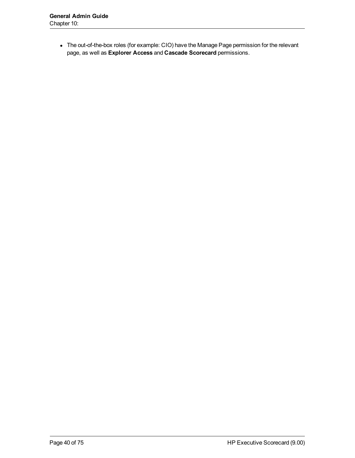• The out-of-the-box roles (for example: CIO) have the Manage Page permission for the relevant page, as well as **Explorer Access** and **Cascade Scorecard** permissions.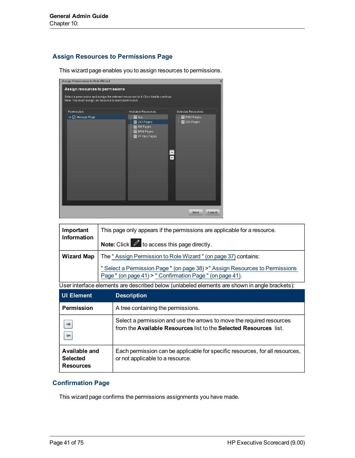### <span id="page-40-0"></span>**Assign Resources to Permissions Page**

This wizard page enables you to assign resources to permissions.

| Assign Permissions to Role Wizard                                                                                                                                                 |                                                                             |                                                                          | $\times$ |
|-----------------------------------------------------------------------------------------------------------------------------------------------------------------------------------|-----------------------------------------------------------------------------|--------------------------------------------------------------------------|----------|
| Assign resources to permissions<br>Select a permission and assign the relevant resources to it. Click Next to continue.<br>Note: You must assign an resource to every permission. |                                                                             |                                                                          |          |
| Permission                                                                                                                                                                        | Available Resources                                                         | <b>Selected Resources</b>                                                |          |
| ≔~ি Manage Page                                                                                                                                                                   | <b>BB</b> ALL<br>B CIO Pages<br>图 SM Pages<br>图 BRM Pages<br>图 VP Ops Pages | <b>图 PMO Pages</b><br>图 CIO Pages<br>B.<br>$\overline{\phantom{a}}$<br>Ŧ |          |
|                                                                                                                                                                                   |                                                                             | Cancel<br><b>Next</b>                                                    |          |

| Important         | This page only appears if the permissions are applicable for a resource.                                                                  |  |
|-------------------|-------------------------------------------------------------------------------------------------------------------------------------------|--|
| Information       | <b>Note:</b> Click $\mathbb{Z}$ to access this page directly.                                                                             |  |
| <b>Wizard Map</b> | The "Assign Permission to Role Wizard" (on page 37) contains:                                                                             |  |
|                   | " Select a Permission Page " (on page 38) >" Assign Resources to Permissions<br>Page " (on page 41) > " Confirmation Page " (on page 41). |  |

User interface elements are described below (unlabeled elements are shown in angle brackets):

| <b>UI Element</b>                                    | <b>Description</b>                                                                                                                         |  |
|------------------------------------------------------|--------------------------------------------------------------------------------------------------------------------------------------------|--|
| <b>Permission</b>                                    | A tree containing the permissions.                                                                                                         |  |
|                                                      | Select a permission and use the arrows to move the required resources<br>from the Available Resources list to the Selected Resources list. |  |
| Available and<br><b>Selected</b><br><b>Resources</b> | Each permission can be applicable for specific resources, for all resources,<br>or not applicable to a resource.                           |  |

## <span id="page-40-1"></span>**Confirmation Page**

This wizard page confirms the permissions assignments you have made.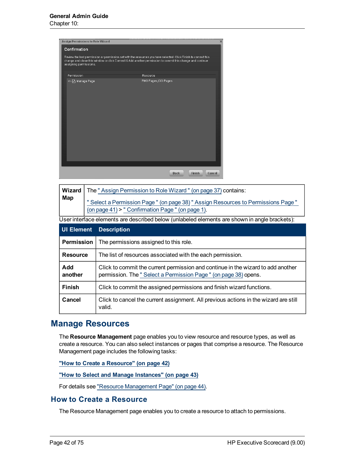| Assign Permissions to Role Wizard                                                                                                                                                                                          | $\mathsf{x}$                           |
|----------------------------------------------------------------------------------------------------------------------------------------------------------------------------------------------------------------------------|----------------------------------------|
| Confirmation                                                                                                                                                                                                               |                                        |
|                                                                                                                                                                                                                            |                                        |
| Review the last permission or permission set with the resources you have selected. Click Finish to commit this<br>change and close this window or click Commit & Add another permission to commit this change and continue |                                        |
| assigning permissions.                                                                                                                                                                                                     |                                        |
| Permission                                                                                                                                                                                                                 | Resource                               |
|                                                                                                                                                                                                                            |                                        |
| Im-Di Manage Page                                                                                                                                                                                                          | PMO Pages, CIO Pages                   |
|                                                                                                                                                                                                                            |                                        |
|                                                                                                                                                                                                                            |                                        |
|                                                                                                                                                                                                                            |                                        |
|                                                                                                                                                                                                                            |                                        |
|                                                                                                                                                                                                                            |                                        |
|                                                                                                                                                                                                                            |                                        |
|                                                                                                                                                                                                                            |                                        |
|                                                                                                                                                                                                                            |                                        |
|                                                                                                                                                                                                                            |                                        |
|                                                                                                                                                                                                                            |                                        |
|                                                                                                                                                                                                                            |                                        |
|                                                                                                                                                                                                                            |                                        |
|                                                                                                                                                                                                                            |                                        |
|                                                                                                                                                                                                                            |                                        |
|                                                                                                                                                                                                                            | <b>Back</b><br><b>Finish</b><br>Cancel |
|                                                                                                                                                                                                                            |                                        |

| Wizard            | The "Assign Permission to Role Wizard" (on page 37) contains:                                                                                       |  |
|-------------------|-----------------------------------------------------------------------------------------------------------------------------------------------------|--|
| Map               | Select a Permission Page " (on page 38) " Assign Resources to Permissions Page "<br>(on page 41) > " Confirmation Page " (on page 1).               |  |
|                   | User interface elements are described below (unlabeled elements are shown in angle brackets):                                                       |  |
| <b>UI Element</b> | <b>Description</b>                                                                                                                                  |  |
| <b>Permission</b> | The permissions assigned to this role.                                                                                                              |  |
| <b>Resource</b>   | The list of resources associated with the each permission.                                                                                          |  |
| Add<br>another    | Click to commit the current permission and continue in the wizard to add another<br>permission. The "Select a Permission Page " (on page 38) opens. |  |
| <b>Finish</b>     | Click to commit the assigned permissions and finish wizard functions.                                                                               |  |
| Cancel            | Click to cancel the current assignment. All previous actions in the wizard are still<br>valid.                                                      |  |

# <span id="page-41-1"></span>**Manage Resources**

The **Resource Management** page enables you to view resource and resource types, as well as create a resource. You can also select instances or pages that comprise a resource. The Resource Management page includes the following tasks:

**["How](#page-41-0) [to](#page-41-0) [Create](#page-41-0) [a](#page-41-0) [Resource"](#page-41-0) [\(on](#page-41-0) [page](#page-41-0) [42\)](#page-41-0)**

**["How](#page-42-0) [to](#page-42-0) [Select](#page-42-0) [and](#page-42-0) [Manage](#page-42-0) [Instances"](#page-42-0) [\(on](#page-42-0) [page](#page-42-0) [43\)](#page-42-0)**

<span id="page-41-0"></span>For details see ["Resource](#page-43-0) [Management](#page-43-0) [Page"](#page-43-0) [\(on](#page-43-0) [page](#page-43-0) [44\).](#page-43-0)

### **How to Create a Resource**

The Resource Management page enables you to create a resource to attach to permissions.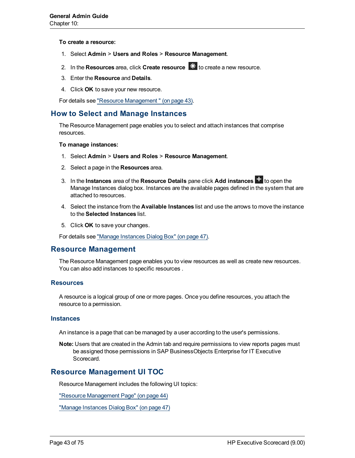**To create a resource:**

- 1. Select **Admin** > **Users and Roles** > **Resource Management**.
- 2. In the **Resources** area, click **Create resource**  $\mathbf{\ast}$  to create a new resource.
- 3. Enter the **Resource** and **Details**.
- 4. Click **OK** to save your new resource.

<span id="page-42-0"></span>For details see ["Resource](#page-42-1) [Management](#page-42-1) ["](#page-42-1) [\(on](#page-42-1) [page](#page-42-1) [43\)](#page-42-1).

#### **How to Select and Manage Instances**

The Resource Management page enables you to select and attach instances that comprise resources.

#### **To manage instances:**

- 1. Select **Admin** > **Users and Roles** > **Resource Management**.
- 2. Select a page in the **Resources** area.
- 3. In the **Instances** area of the **Resource Details** pane click **Add instances** to open the Manage Instances dialog box. Instances are the available pages defined in the system that are attached to resources.
- 4. Select the instance from the **Available Instances** list and use the arrows to move the instance to the **Selected Instances** list.
- 5. Click **OK** to save your changes.

<span id="page-42-1"></span>For details see ["Manage](#page-46-0) [Instances](#page-46-0) [Dialog](#page-46-0) [Box"](#page-46-0) [\(on](#page-46-0) [page](#page-46-0) [47\)](#page-46-0).

#### **Resource Management**

The Resource Management page enables you to view resources as well as create new resources. You can also add instances to specific resources .

#### **Resources**

A resource is a logical group of one or more pages. Once you define resources, you attach the resource to a permission.

#### **Instances**

An instance is a page that can be managed by a user according to the user's permissions.

**Note:** Users that are created in the Admin tab and require permissions to view reports pages must be assigned those permissions in SAP BusinessObjects Enterprise for IT Executive Scorecard.

### **Resource Management UI TOC**

Resource Management includes the following UI topics:

["Resource](#page-43-0) [Management](#page-43-0) [Page"](#page-43-0) [\(on](#page-43-0) [page](#page-43-0) [44\)](#page-43-0)

["Manage](#page-46-0) [Instances](#page-46-0) [Dialog](#page-46-0) [Box"](#page-46-0) [\(on](#page-46-0) [page](#page-46-0) [47\)](#page-46-0)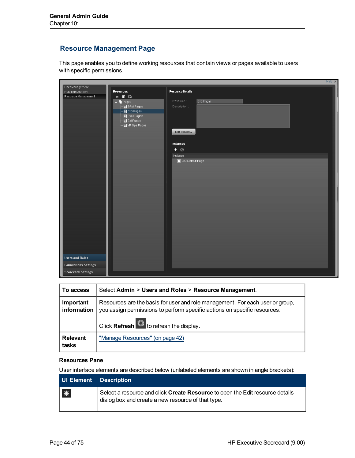## <span id="page-43-0"></span>**Resource Management Page**

This page enables you to define working resources that contain views or pages available to users with specific permissions.

|                             |                                 |                         | Help $\times$ |
|-----------------------------|---------------------------------|-------------------------|---------------|
| User Management             |                                 |                         |               |
| Role Management             | <b>Resources</b>                | <b>Resource Details</b> |               |
| Resource Management         | $*$ 0 $\circ$                   |                         |               |
|                             | $\overline{\mathbf{v}}$   Pages | Resource:<br>CIO Pages  |               |
|                             | 图 BRM Pages                     | Description:            |               |
|                             | ·图 CIO Pages                    |                         |               |
|                             | ·图 PMO Pages                    |                         |               |
|                             | ·图 SM Pages                     |                         |               |
|                             | 圖 VP Ops Pages                  |                         |               |
|                             |                                 | Edit details            |               |
|                             |                                 |                         |               |
|                             |                                 | Instances               |               |
|                             |                                 |                         |               |
|                             |                                 | $+$ 0                   |               |
|                             |                                 | Instance                |               |
|                             |                                 | CIO Default Page        |               |
|                             |                                 |                         |               |
|                             |                                 |                         |               |
|                             |                                 |                         |               |
|                             |                                 |                         |               |
|                             |                                 |                         |               |
|                             |                                 |                         |               |
|                             |                                 |                         |               |
|                             |                                 |                         |               |
|                             |                                 |                         |               |
|                             |                                 |                         |               |
|                             |                                 |                         |               |
|                             |                                 |                         |               |
|                             |                                 |                         |               |
|                             |                                 |                         |               |
|                             |                                 |                         |               |
|                             |                                 |                         |               |
|                             |                                 |                         |               |
|                             |                                 |                         |               |
| <b>Users and Roles</b>      |                                 |                         |               |
| <b>Foundations Settings</b> |                                 |                         |               |
|                             |                                 |                         |               |
| <b>Scorecard Settings</b>   |                                 |                         |               |

| To access                | Select Admin > Users and Roles > Resource Management.                                                                                                                                                          |  |
|--------------------------|----------------------------------------------------------------------------------------------------------------------------------------------------------------------------------------------------------------|--|
| Important<br>information | Resources are the basis for user and role management. For each user or group,<br>you assign permissions to perform specific actions on specific resources.<br>Click Refresh $\bigcirc$ to refresh the display. |  |
| <b>Relevant</b><br>tasks | "Manage Resources" (on page 42)                                                                                                                                                                                |  |

#### **Resources Pane**

User interface elements are described below (unlabeled elements are shown in angle brackets):

| UI Element Description |                                                                                                                                     |
|------------------------|-------------------------------------------------------------------------------------------------------------------------------------|
| $*$                    | Select a resource and click Create Resource to open the Edit resource details<br>dialog box and create a new resource of that type. |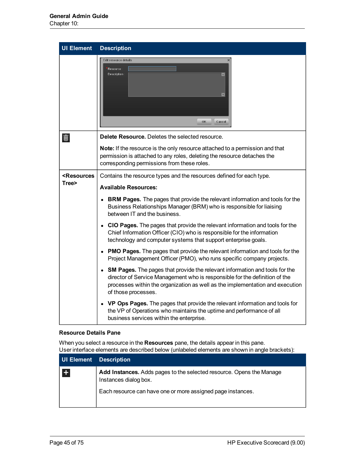| <b>UI Element</b>                                                                                            | <b>Description</b>                                                                                                                                                                                                                                                        |
|--------------------------------------------------------------------------------------------------------------|---------------------------------------------------------------------------------------------------------------------------------------------------------------------------------------------------------------------------------------------------------------------------|
|                                                                                                              | Edit resource details<br>Resource:<br>Description:<br>$\blacksquare$<br>OK<br>Cancel                                                                                                                                                                                      |
| 画                                                                                                            | Delete Resource. Deletes the selected resource.                                                                                                                                                                                                                           |
|                                                                                                              | Note: If the resource is the only resource attached to a permission and that<br>permission is attached to any roles, deleting the resource detaches the<br>corresponding permissions from these roles.                                                                    |
| <resources< th=""><th>Contains the resource types and the resources defined for each type.</th></resources<> | Contains the resource types and the resources defined for each type.                                                                                                                                                                                                      |
| Tree>                                                                                                        | <b>Available Resources:</b>                                                                                                                                                                                                                                               |
|                                                                                                              | • BRM Pages. The pages that provide the relevant information and tools for the<br>Business Relationships Manager (BRM) who is responsible for liaising<br>between IT and the business.                                                                                    |
|                                                                                                              | • CIO Pages. The pages that provide the relevant information and tools for the<br>Chief Information Officer (CIO) who is responsible for the information<br>technology and computer systems that support enterprise goals.                                                |
|                                                                                                              | • PMO Pages. The pages that provide the relevant information and tools for the<br>Project Management Officer (PMO), who runs specific company projects.                                                                                                                   |
|                                                                                                              | <b>SM Pages.</b> The pages that provide the relevant information and tools for the<br>director of Service Management who is responsible for the definition of the<br>processes within the organization as well as the implementation and execution<br>of those processes. |
|                                                                                                              | <b>VP Ops Pages.</b> The pages that provide the relevant information and tools for<br>the VP of Operations who maintains the uptime and performance of all<br>business services within the enterprise.                                                                    |

#### **Resource Details Pane**

When you select a resource in the **Resources** pane, the details appear in this pane. User interface elements are described below (unlabeled elements are shown in angle brackets):

| <b>UI Element Description</b> |                                                                                                                                                              |
|-------------------------------|--------------------------------------------------------------------------------------------------------------------------------------------------------------|
| $\pm$                         | Add Instances. Adds pages to the selected resource. Opens the Manage<br>Instances dialog box.<br>Each resource can have one or more assigned page instances. |
|                               |                                                                                                                                                              |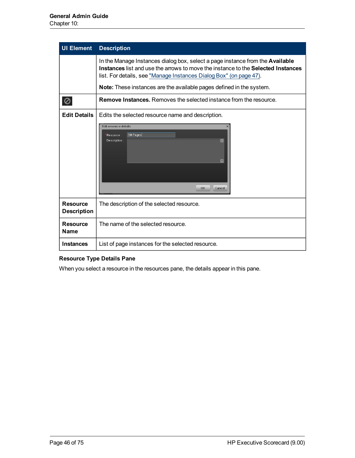| <b>UI Element</b>                     | <b>Description</b>                                                                                                                                                                                                                             |  |
|---------------------------------------|------------------------------------------------------------------------------------------------------------------------------------------------------------------------------------------------------------------------------------------------|--|
|                                       | In the Manage Instances dialog box, select a page instance from the <b>Available</b><br>Instances list and use the arrows to move the instance to the Selected Instances<br>list. For details, see "Manage Instances Dialog Box" (on page 47). |  |
|                                       | <b>Note:</b> These instances are the available pages defined in the system.                                                                                                                                                                    |  |
| 0                                     | <b>Remove Instances.</b> Removes the selected instance from the resource.                                                                                                                                                                      |  |
| <b>Edit Details</b>                   | Edits the selected resource name and description.                                                                                                                                                                                              |  |
|                                       | Edit resource details<br>SM Pages<br>Resource :<br>Description:<br>$\blacksquare$<br>OK<br>Cancel                                                                                                                                              |  |
| <b>Resource</b><br><b>Description</b> | The description of the selected resource.                                                                                                                                                                                                      |  |
| Resource<br><b>Name</b>               | The name of the selected resource.                                                                                                                                                                                                             |  |
| <b>Instances</b>                      | List of page instances for the selected resource.                                                                                                                                                                                              |  |

## **Resource Type Details Pane**

When you select a resource in the resources pane, the details appear in this pane.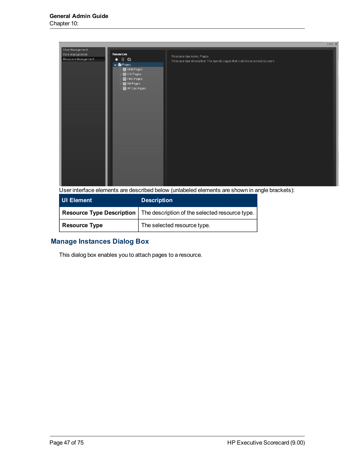|                                                                                                                                                                                                                                                                                         | Help $\times$                                                                                               |
|-----------------------------------------------------------------------------------------------------------------------------------------------------------------------------------------------------------------------------------------------------------------------------------------|-------------------------------------------------------------------------------------------------------------|
| User Management<br>Resources<br>Role Management<br>Resource Management<br>$\begin{matrix}\n\mathbb{I} & \mathbb{I} \\ \mathbb{I} & \mathbb{I}\n\end{matrix}$<br>$\ast$<br>$\neg$ $\blacksquare$ Pages<br>·图 BRM Pages<br>·图 CIO Pages<br>·图 PMO Pages<br>·图 SM Pages<br>·뗿 VP Ops Pages | Resource type name: Pages<br>Resource type description: The specific pages that could be accessed by users. |

User interface elements are described below (unlabeled elements are shown in angle brackets):

| UI Element           | <b>Description</b>                                                               |
|----------------------|----------------------------------------------------------------------------------|
|                      | Resource Type Description $\vert$ The description of the selected resource type. |
| <b>Resource Type</b> | The selected resource type.                                                      |

## <span id="page-46-0"></span>**Manage Instances Dialog Box**

This dialog box enables you to attach pages to a resource.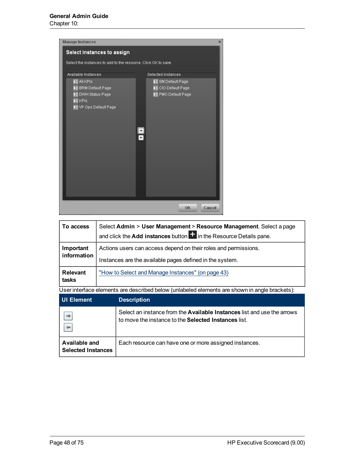| <b>Manage Instances</b>                                        |                    | ×      |
|----------------------------------------------------------------|--------------------|--------|
| Select instances to assign                                     |                    |        |
| Select the instances to add to the resource. Click OK to save. |                    |        |
| Available Instances                                            | Selected Instances |        |
| $\mathbf{E}$ All KPIs                                          | SM Default Page    |        |
| <b>B</b> BRM Default Page                                      | CIO Default Page   |        |
| <b>E</b> DWH Status Page                                       | PMO Default Page   |        |
| $\mathbb{H}$ KPIs                                              |                    |        |
| VP Ops Default Page                                            |                    |        |
|                                                                |                    |        |
|                                                                |                    |        |
|                                                                |                    |        |
|                                                                | ۰                  |        |
|                                                                |                    |        |
|                                                                |                    |        |
|                                                                |                    |        |
|                                                                |                    |        |
|                                                                |                    |        |
|                                                                |                    |        |
|                                                                |                    |        |
|                                                                |                    |        |
|                                                                | OK                 | Cancel |

| To access   | Select Admin > User Management > Resource Management. Select a page<br>and click the <b>Add instances</b> button $\mathbf{t}$ in the Resource Details pane. |
|-------------|-------------------------------------------------------------------------------------------------------------------------------------------------------------|
| Important   | Actions users can access depend on their roles and permissions.                                                                                             |
| information | Instances are the available pages defined in the system.                                                                                                    |
| Relevant    | "How to Select and Manage Instances" (on page 43)                                                                                                           |
| tasks       | I lear intarfaca alamante ara daecribad balow (unlabalad alamante ara ebown in angla brackate):                                                             |

User interface elements are described below (unlabeled elements are shown in angle brackets):

| UI Element                                 | <b>Description</b>                                                                                                              |
|--------------------------------------------|---------------------------------------------------------------------------------------------------------------------------------|
|                                            | Select an instance from the Available Instances list and use the arrows<br>to move the instance to the Selected Instances list. |
| Available and<br><b>Selected Instances</b> | Each resource can have one or more assigned instances.                                                                          |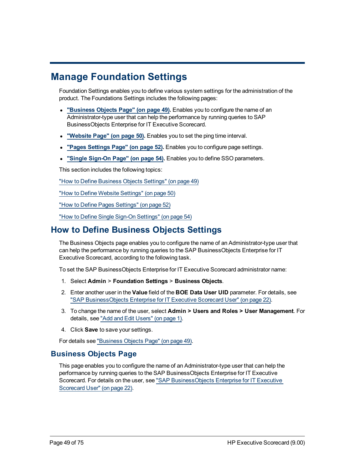# **Manage Foundation Settings**

Foundation Settings enables you to define various system settings for the administration of the product. The Foundations Settings includes the following pages:

- <sup>l</sup> **["Business](#page-48-0) [Objects](#page-48-0) [Page"](#page-48-0) [\(on](#page-48-0) [page](#page-48-0) [49\)](#page-48-0).** Enables you to configure the name of an Administrator-type user that can help the performance by running queries to SAP BusinessObjects Enterprise for IT Executive Scorecard.
- <sup>l</sup> **["Website](#page-49-0) [Page"](#page-49-0) [\(on](#page-49-0) [page](#page-49-0) [50\)](#page-49-0).** Enables you to set the ping time interval.
- <sup>l</sup> **["Pages](#page-51-0) [Settings](#page-51-0) [Page"](#page-51-0) [\(on](#page-51-0) [page](#page-51-0) [52\)](#page-51-0).** Enables you to configure page settings.
- <sup>l</sup> **["Single](#page-53-0) [Sign-On](#page-53-0) [Page"](#page-53-0) [\(on](#page-53-0) [page](#page-53-0) [54\)](#page-53-0).** Enables you to define SSO parameters.

This section includes the following topics:

["How](#page-48-1) [to](#page-48-1) [Define](#page-48-1) [Business](#page-48-1) [Objects](#page-48-1) [Settings"](#page-48-1) [\(on](#page-48-1) [page](#page-48-1) [49\)](#page-48-1)

["How](#page-49-1) [to](#page-49-1) [Define](#page-49-1) [Website](#page-49-1) [Settings"](#page-49-1) [\(on](#page-49-1) [page](#page-49-1) [50\)](#page-49-1)

["How](#page-51-1) [to](#page-51-1) [Define](#page-51-1) [Pages](#page-51-1) [Settings"](#page-51-1) [\(on](#page-51-1) [page](#page-51-1) [52\)](#page-51-1)

<span id="page-48-1"></span>["How](#page-53-1) [to](#page-53-1) [Define](#page-53-1) [Single](#page-53-1) [Sign-On](#page-53-1) [Settings"](#page-53-1) [\(on](#page-53-1) [page](#page-53-1) [54\)](#page-53-1)

# **How to Define Business Objects Settings**

The Business Objects page enables you to configure the name of an Administrator-type user that can help the performance by running queries to the SAP BusinessObjects Enterprise for IT Executive Scorecard, according to the following task.

To set the SAP BusinessObjects Enterprise for IT Executive Scorecard administrator name:

- 1. Select **Admin** > **Foundation Settings** > **Business Objects**.
- 2. Enter another user in the **Value** field of the **BOE Data User UID** parameter. For details, see ["SAP](#page-21-0) [BusinessObjects](#page-21-0) [Enterprise](#page-21-0) [for](#page-21-0) [IT](#page-21-0) [Executive](#page-21-0) [Scorecard](#page-21-0) [User"](#page-21-0) [\(on](#page-21-0) [page](#page-21-0) [22\)](#page-21-0).
- 3. To change the name of the user, select **Admin > Users and Roles > User Management**. For details, see ["Add](#page-22-0) [and](#page-22-0) [Edit](#page-22-0) [Users"](#page-22-0) [\(on](#page-22-0) [page](#page-22-0) [1\).](#page-22-0)
- 4. Click **Save** to save your settings.

<span id="page-48-0"></span>For details see ["Business](#page-48-0) [Objects](#page-48-0) [Page"](#page-48-0) [\(on](#page-48-0) [page](#page-48-0) [49\).](#page-48-0)

## **Business Objects Page**

This page enables you to configure the name of an Administrator-type user that can help the performance by running queries to the SAP BusinessObjects Enterprise for IT Executive Scorecard. For details on the user, see ["SAP](#page-21-0) [BusinessObjects](#page-21-0) [Enterprise](#page-21-0) [for](#page-21-0) [IT](#page-21-0) [Executive](#page-21-0) [Scorecard](#page-21-0) [User"](#page-21-0) [\(on](#page-21-0) [page](#page-21-0) [22\)](#page-21-0).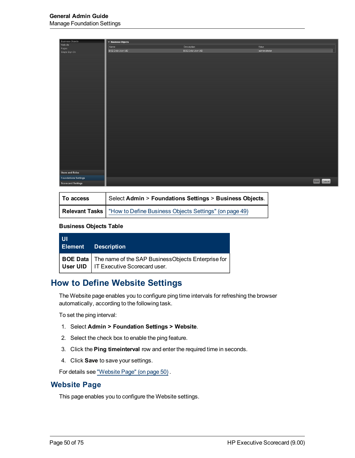| <b>Business Objects</b>     | $\blacktriangledown$ Business Objects |                   |               |             |
|-----------------------------|---------------------------------------|-------------------|---------------|-------------|
| Website                     | Name                                  | Description       | Value         |             |
| Pages                       | BOE Data User UID                     | BOE Data User UID | administrator |             |
| Single Sign-On              |                                       |                   |               |             |
|                             |                                       |                   |               |             |
|                             |                                       |                   |               |             |
|                             |                                       |                   |               |             |
|                             |                                       |                   |               |             |
|                             |                                       |                   |               |             |
|                             |                                       |                   |               |             |
|                             |                                       |                   |               |             |
|                             |                                       |                   |               |             |
|                             |                                       |                   |               |             |
|                             |                                       |                   |               |             |
|                             |                                       |                   |               |             |
|                             |                                       |                   |               |             |
|                             |                                       |                   |               |             |
|                             |                                       |                   |               |             |
|                             |                                       |                   |               |             |
|                             |                                       |                   |               |             |
|                             |                                       |                   |               |             |
|                             |                                       |                   |               |             |
|                             |                                       |                   |               |             |
|                             |                                       |                   |               |             |
|                             |                                       |                   |               |             |
|                             |                                       |                   |               |             |
|                             |                                       |                   |               |             |
|                             |                                       |                   |               |             |
|                             |                                       |                   |               |             |
|                             |                                       |                   |               |             |
|                             |                                       |                   |               |             |
| <b>Users and Roles</b>      |                                       |                   |               |             |
| <b>Foundations Settings</b> |                                       |                   |               | Save Cancel |
| <b>Scorecard Settings</b>   |                                       |                   |               |             |
|                             |                                       |                   |               |             |

| To access | Select Admin > Foundations Settings > Business Objects.                 |
|-----------|-------------------------------------------------------------------------|
|           | Relevant Tasks   "How to Define Business Objects Settings" (on page 49) |

#### **Business Objects Table**

| l UI | <b>Element</b> Description                                                                                      |
|------|-----------------------------------------------------------------------------------------------------------------|
|      | BOE Data   The name of the SAP BusinessObjects Enterprise for<br><b>User UID</b>   IT Executive Scorecard user. |

## <span id="page-49-1"></span>**How to Define Website Settings**

The Website page enables you to configure ping time intervals for refreshing the browser automatically, according to the following task.

To set the ping interval:

- 1. Select **Admin > Foundation Settings > Website**.
- 2. Select the check box to enable the ping feature.
- 3. Click the **Ping timeinterval** row and enter the required time in seconds.
- 4. Click **Save** to save your settings.

<span id="page-49-0"></span>For details see ["Website](#page-49-0) [Page"](#page-49-0) [\(on](#page-49-0) [page](#page-49-0) [50\)](#page-49-0) .

#### **Website Page**

This page enables you to configure the Website settings.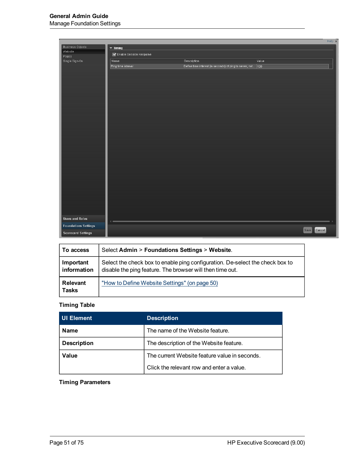|                             |                             |                                                               |       | Help $\times$  |
|-----------------------------|-----------------------------|---------------------------------------------------------------|-------|----------------|
| <b>Business Objects</b>     | $\blacktriangledown$ Timing |                                                               |       |                |
| Website<br>Pages            | Enable Session Keepalive    |                                                               |       |                |
| Single Sign-On              | Name                        | Description                                                   | Value |                |
|                             | Ping time interval          | Define time interval (in seconds) of ping to server, not  120 |       |                |
|                             |                             |                                                               |       |                |
|                             |                             |                                                               |       |                |
|                             |                             |                                                               |       |                |
|                             |                             |                                                               |       |                |
|                             |                             |                                                               |       |                |
|                             |                             |                                                               |       |                |
|                             |                             |                                                               |       |                |
|                             |                             |                                                               |       |                |
|                             |                             |                                                               |       |                |
|                             |                             |                                                               |       |                |
|                             |                             |                                                               |       |                |
|                             |                             |                                                               |       |                |
|                             |                             |                                                               |       |                |
|                             |                             |                                                               |       |                |
|                             |                             |                                                               |       |                |
|                             |                             |                                                               |       |                |
|                             |                             |                                                               |       |                |
|                             |                             |                                                               |       |                |
|                             |                             |                                                               |       |                |
|                             |                             |                                                               |       |                |
|                             |                             |                                                               |       |                |
|                             |                             |                                                               |       |                |
|                             |                             |                                                               |       |                |
|                             |                             |                                                               |       |                |
|                             |                             |                                                               |       |                |
|                             |                             |                                                               |       |                |
| <b>Users and Roles</b>      |                             |                                                               |       |                |
|                             | d                           |                                                               |       |                |
| <b>Foundations Settings</b> |                             |                                                               |       | Cancel<br>Save |
| <b>Scorecard Settings</b>   |                             |                                                               |       |                |

| To access                       | Select Admin > Foundations Settings > Website.                                                                                             |
|---------------------------------|--------------------------------------------------------------------------------------------------------------------------------------------|
| Important<br>information        | Select the check box to enable ping configuration. De-select the check box to<br>disable the ping feature. The browser will then time out. |
| <b>Relevant</b><br><b>Tasks</b> | "How to Define Website Settings" (on page 50)                                                                                              |

### **Timing Table**

| <b>UI Element</b>  | <b>Description</b>                            |
|--------------------|-----------------------------------------------|
| <b>Name</b>        | The name of the Website feature.              |
| <b>Description</b> | The description of the Website feature.       |
| Value              | The current Website feature value in seconds. |
|                    | Click the relevant row and enter a value.     |

## **Timing Parameters**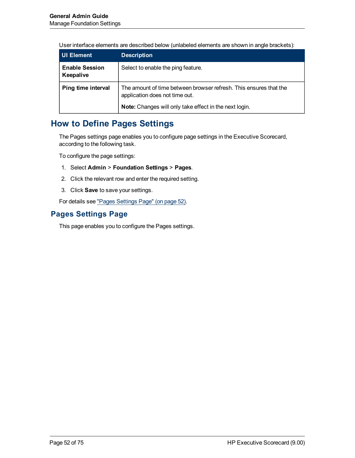User interface elements are described below (unlabeled elements are shown in angle brackets):

| <b>UI Element</b>                  | <b>Description</b>                                                                                                                                            |
|------------------------------------|---------------------------------------------------------------------------------------------------------------------------------------------------------------|
| <b>Enable Session</b><br>Keepalive | Select to enable the ping feature.                                                                                                                            |
| Ping time interval                 | The amount of time between browser refresh. This ensures that the<br>application does not time out.<br>Note: Changes will only take effect in the next login. |

# <span id="page-51-1"></span>**How to Define Pages Settings**

The Pages settings page enables you to configure page settings in the Executive Scorecard, according to the following task.

To configure the page settings:

- 1. Select **Admin** > **Foundation Settings** > **Pages**.
- 2. Click the relevant row and enter the required setting.
- 3. Click **Save** to save your settings.

<span id="page-51-0"></span>For details see ["Pages](#page-51-0) [Settings](#page-51-0) [Page"](#page-51-0) [\(on](#page-51-0) [page](#page-51-0) [52\)](#page-51-0).

## **Pages Settings Page**

This page enables you to configure the Pages settings.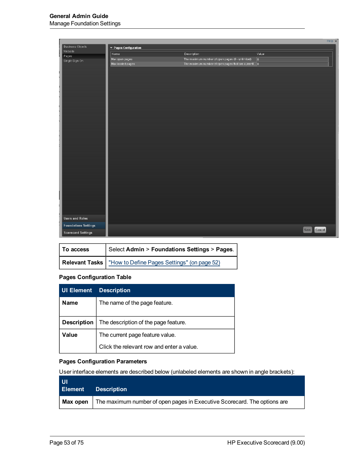|                             |                       |                                                       |            | Help $\times$  |
|-----------------------------|-----------------------|-------------------------------------------------------|------------|----------------|
| <b>Business Objects</b>     | ▼ Pages Configuration |                                                       |            |                |
| Website                     | Name                  | Description                                           | Value      |                |
| Pages<br>Single Sign-On     | Max open pages        | The maximum number of open pages (0 - unlimited)      | $\sqrt{0}$ |                |
|                             | Max loaded pages      | The maximum number of open pages that are current ! 0 |            |                |
| ŧ.                          |                       |                                                       |            |                |
|                             |                       |                                                       |            |                |
|                             |                       |                                                       |            |                |
| ľ                           |                       |                                                       |            |                |
|                             |                       |                                                       |            |                |
|                             |                       |                                                       |            |                |
|                             |                       |                                                       |            |                |
|                             |                       |                                                       |            |                |
|                             |                       |                                                       |            |                |
|                             |                       |                                                       |            |                |
|                             |                       |                                                       |            |                |
|                             |                       |                                                       |            |                |
|                             |                       |                                                       |            |                |
|                             |                       |                                                       |            |                |
|                             |                       |                                                       |            |                |
|                             |                       |                                                       |            |                |
|                             |                       |                                                       |            |                |
|                             |                       |                                                       |            |                |
|                             |                       |                                                       |            |                |
|                             |                       |                                                       |            |                |
|                             |                       |                                                       |            |                |
|                             |                       |                                                       |            |                |
| l                           |                       |                                                       |            |                |
|                             |                       |                                                       |            |                |
|                             |                       |                                                       |            |                |
|                             |                       |                                                       |            |                |
| <b>Users and Roles</b>      |                       |                                                       |            |                |
|                             |                       |                                                       |            |                |
| <b>Foundations Settings</b> |                       |                                                       |            | Cancel<br>Save |
| <b>Scorecard Settings</b>   |                       |                                                       |            |                |

| To access | Select Admin > Foundations Settings > Pages.                 |  |
|-----------|--------------------------------------------------------------|--|
|           | Relevant Tasks   "How to Define Pages Settings" (on page 52) |  |

### **Pages Configuration Table**

| <b>UI Element</b>  | <b>Description</b>                        |  |
|--------------------|-------------------------------------------|--|
| <b>Name</b>        | The name of the page feature.             |  |
|                    |                                           |  |
| <b>Description</b> | The description of the page feature.      |  |
| Value              | The current page feature value.           |  |
|                    | Click the relevant row and enter a value. |  |

## **Pages Configuration Parameters**

User interface elements are described below (unlabeled elements are shown in angle brackets):

| - UI<br>Element | <b>Description</b>                                                                               |
|-----------------|--------------------------------------------------------------------------------------------------|
|                 | <b>Max open</b> $\vert$ The maximum number of open pages in Executive Scorecard. The options are |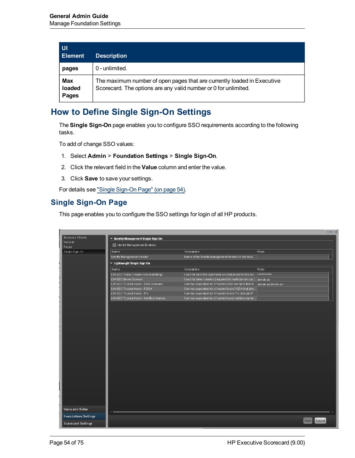| UI<br><b>Element</b>          | <b>Description</b>                                                                                                                         |
|-------------------------------|--------------------------------------------------------------------------------------------------------------------------------------------|
| pages                         | 0 - unlimited.                                                                                                                             |
| <b>Max</b><br>loaded<br>Pages | The maximum number of open pages that are currently loaded in Executive<br>Scorecard. The options are any valid number or 0 for unlimited. |

# <span id="page-53-1"></span>**How to Define Single Sign-On Settings**

The **Single Sign-On** page enables you to configure SSO requirements according to the following tasks.

To add of change SSO values:

- 1. Select **Admin** > **Foundation Settings** > **Single Sign-On**.
- 2. Click the relevant field in the **Value** column and enter the value.
- 3. Click **Save** to save your settings.

<span id="page-53-0"></span>For details see ["Single](#page-53-0) [Sign-On](#page-53-0) [Page"](#page-53-0) [\(on](#page-53-0) [page](#page-53-0) [54\).](#page-53-0)

## **Single Sign-On Page**

This page enables you to configure the SSO settings for login of all HP products.

|                             |                                        |                                                                                |                | Help $\times$ |
|-----------------------------|----------------------------------------|--------------------------------------------------------------------------------|----------------|---------------|
| <b>Business Objects</b>     | v Identity Management Single Sign-On   |                                                                                |                |               |
| Website                     | Identity Management Enabled            |                                                                                |                |               |
| Pages                       |                                        |                                                                                |                |               |
| Single Sign-On              | Name                                   | Description                                                                    | Value          |               |
|                             | Identity Management Header             | Name of the Identity Management header on the requ                             |                |               |
|                             | ▼ Lightweight Single Sign-On           |                                                                                |                |               |
|                             | Name                                   | <b>Description</b>                                                             | Value          |               |
|                             | LW-SSO Token Creation Key (initString) | Used for init of the symmetric encryption key for the tok <b>*************</b> |                |               |
|                             | LW-SSO Server Domain                   | Used for token creation (required for multi-domain su                          | devlab.ad      |               |
|                             | LW-SSO Trusted Hosts - DNS Domains     | Comma separated list of trusted DNS domains that al devlab.ad; devlab.ad       |                |               |
|                             | LW-SSO Trusted Hosts - FQDN            | Comma separated list of trusted hosts FQDN that allo                           |                |               |
|                             | LW-SSO Trusted Hosts - IPs             | Comma separated list of trusted hosts IPs (include IP                          |                |               |
|                             | LW-SSO Trusted Hosts - Net Bios Names  | Comma separated list of trusted hosts net bios name                            |                |               |
|                             |                                        |                                                                                |                |               |
|                             |                                        |                                                                                |                |               |
|                             |                                        |                                                                                |                |               |
|                             |                                        |                                                                                |                |               |
|                             |                                        |                                                                                |                |               |
|                             |                                        |                                                                                |                |               |
|                             |                                        |                                                                                |                |               |
|                             |                                        |                                                                                |                |               |
|                             |                                        |                                                                                |                |               |
|                             |                                        |                                                                                |                |               |
|                             |                                        |                                                                                |                |               |
|                             |                                        |                                                                                |                |               |
|                             |                                        |                                                                                |                |               |
|                             |                                        |                                                                                |                |               |
|                             |                                        |                                                                                |                |               |
|                             |                                        |                                                                                |                |               |
|                             |                                        |                                                                                |                |               |
|                             |                                        |                                                                                |                |               |
|                             |                                        |                                                                                |                |               |
|                             |                                        |                                                                                |                |               |
|                             |                                        |                                                                                |                |               |
| <b>Users and Roles</b>      |                                        |                                                                                |                |               |
|                             |                                        |                                                                                |                |               |
| <b>Foundations Settings</b> |                                        |                                                                                | Cancel<br>Save |               |
| <b>Scorecard Settings</b>   |                                        |                                                                                |                |               |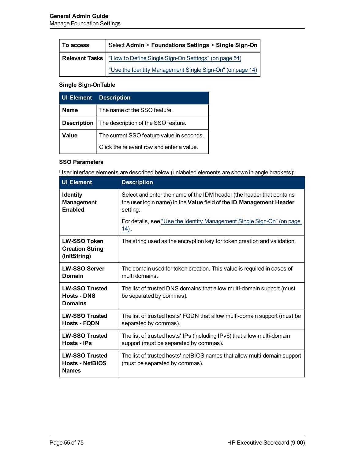| Select Admin > Foundations Settings > Single Sign-On<br>To access |                                                                              |
|-------------------------------------------------------------------|------------------------------------------------------------------------------|
|                                                                   | <b>Relevant Tasks</b>   "How to Define Single Sign-On Settings" (on page 54) |
|                                                                   | "Use the Identity Management Single Sign-On" (on page 14)                    |

### **Single Sign-OnTable**

| <b>UI Element</b>  | <b>Description</b>                        |  |
|--------------------|-------------------------------------------|--|
| <b>Name</b>        | The name of the SSO feature.              |  |
| <b>Description</b> | The description of the SSO feature.       |  |
| Value              | The current SSO feature value in seconds. |  |
|                    | Click the relevant row and enter a value. |  |

#### **SSO Parameters**

User interface elements are described below (unlabeled elements are shown in angle brackets):

| <b>UI Element</b>                                               | <b>Description</b>                                                                                                                                       |
|-----------------------------------------------------------------|----------------------------------------------------------------------------------------------------------------------------------------------------------|
| <b>Identity</b><br><b>Management</b><br><b>Enabled</b>          | Select and enter the name of the IDM header (the header that contains<br>the user login name) in the Value field of the ID Management Header<br>setting. |
|                                                                 | For details, see "Use the Identity Management Single Sign-On" (on page<br>$14)$ .                                                                        |
| <b>LW-SSO Token</b><br><b>Creation String</b><br>(initString)   | The string used as the encryption key for token creation and validation.                                                                                 |
| <b>LW-SSO Server</b><br>Domain                                  | The domain used for token creation. This value is required in cases of<br>multi domains.                                                                 |
| <b>LW-SSO Trusted</b><br><b>Hosts - DNS</b><br><b>Domains</b>   | The list of trusted DNS domains that allow multi-domain support (must<br>be separated by commas).                                                        |
| <b>LW-SSO Trusted</b><br><b>Hosts - FQDN</b>                    | The list of trusted hosts' FQDN that allow multi-domain support (must be<br>separated by commas).                                                        |
| <b>LW-SSO Trusted</b><br>Hosts - IPs                            | The list of trusted hosts' IPs (including IPv6) that allow multi-domain<br>support (must be separated by commas).                                        |
| <b>LW-SSO Trusted</b><br><b>Hosts - NetBIOS</b><br><b>Names</b> | The list of trusted hosts' netBIOS names that allow multi-domain support<br>(must be separated by commas).                                               |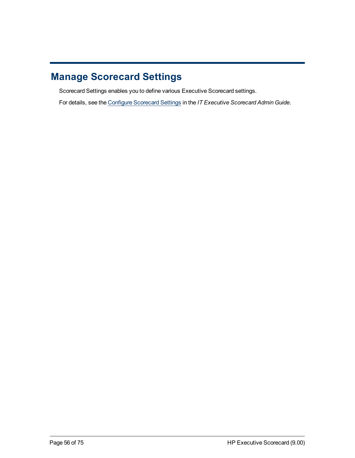# **Manage Scorecard Settings**

Scorecard Settings enables you to define various Executive Scorecard settings.

For details, see the [Configure](../../../../../../XS_Admin/Content/Topics/T_scorecardsettings.htm) [Scorecard](../../../../../../XS_Admin/Content/Topics/T_scorecardsettings.htm) [Settings](../../../../../../XS_Admin/Content/Topics/T_scorecardsettings.htm) in the *IT Executive Scorecard Admin Guide*.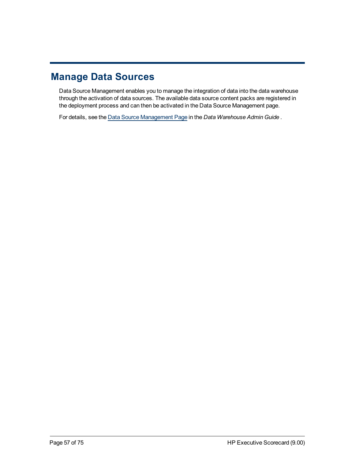# **Manage Data Sources**

Data Source Management enables you to manage the integration of data into the data warehouse through the activation of data sources. The available data source content packs are registered in the deployment process and can then be activated in the Data Source Management page.

For details, see the [Data](../../../../../../DWH_Admin_Child_Project/Content/Topics/UI_dsm.htm) [Source](../../../../../../DWH_Admin_Child_Project/Content/Topics/UI_dsm.htm) [Management](../../../../../../DWH_Admin_Child_Project/Content/Topics/UI_dsm.htm) [Page](../../../../../../DWH_Admin_Child_Project/Content/Topics/UI_dsm.htm) in the *Data Warehouse Admin Guide* .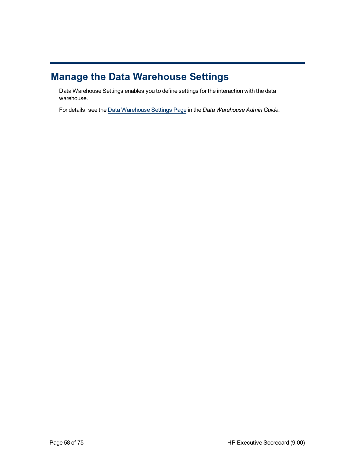# **Manage the Data Warehouse Settings**

Data Warehouse Settings enables you to define settings for the interaction with the data warehouse.

For details, see the [Data](../../../../../../DWH_Admin_Child_Project/Content/Topics/UI_datawarehouse.htm) [Warehouse](../../../../../../DWH_Admin_Child_Project/Content/Topics/UI_datawarehouse.htm) [Settings](../../../../../../DWH_Admin_Child_Project/Content/Topics/UI_datawarehouse.htm) [Page](../../../../../../DWH_Admin_Child_Project/Content/Topics/UI_datawarehouse.htm) in the *Data Warehouse Admin Guide*.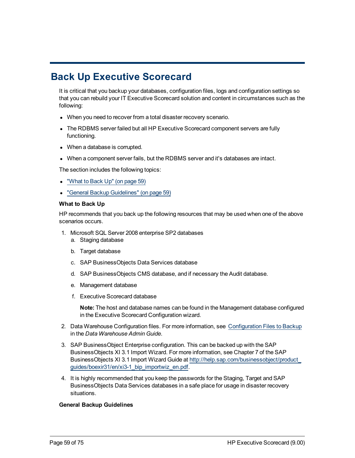# **Back Up Executive Scorecard**

It is critical that you backup your databases, configuration files, logs and configuration settings so that you can rebuild your IT Executive Scorecard solution and content in circumstances such as the following:

- When you need to recover from a total disaster recovery scenario.
- The RDBMS server failed but all HP Executive Scorecard component servers are fully functioning.
- When a database is corrupted.
- When a component server fails, but the RDBMS server and it's databases are intact.

The section includes the following topics:

- ["What](#page-58-0) [to](#page-58-0) [Back](#page-58-0) [Up"](#page-58-0) [\(on](#page-58-0) [page](#page-58-0) [59\)](#page-58-0)
- <span id="page-58-0"></span>• ["General](#page-58-1) [Backup](#page-58-1) [Guidelines"](#page-58-1) [\(on](#page-58-1) [page](#page-58-1) [59\)](#page-58-1)

#### **What to Back Up**

HP recommends that you back up the following resources that may be used when one of the above scenarios occurs.

- 1. Microsoft SQL Server 2008 enterprise SP2 databases
	- a. Staging database
	- b. Target database
	- c. SAP BusinessObjects Data Services database
	- d. SAP BusinessObjects CMS database, and if necessary the Audit database.
	- e. Management database
	- f. Executive Scorecard database

**Note:** The host and database names can be found in the Management database configured in the Executive Scorecard Configuration wizard.

- 2. Data Warehouse Configuration files. For more information, see [Configuration](../../../../../../DWH_Admin/Content/Topics/R_Backup.htm) [Files](../../../../../../DWH_Admin/Content/Topics/R_Backup.htm) [to](../../../../../../DWH_Admin/Content/Topics/R_Backup.htm) [Backup](../../../../../../DWH_Admin/Content/Topics/R_Backup.htm) in the *Data Warehouse Admin Guide*.
- 3. SAP BusinessObject Enterprise configuration. This can be backed up with the SAP BusinessObjects XI 3.1 Import Wizard. For more information, see Chapter 7 of the SAP BusinessObjects XI 3.1 Import Wizard Guide at [http://help.sap.com/businessobject/product\\_](http://help.sap.com/businessobject/product_guides/boexir31/en/xi3-1_bip_importwiz_en.pdf) [guides/boexir31/en/xi3-1\\_bip\\_importwiz\\_en.pdf.](http://help.sap.com/businessobject/product_guides/boexir31/en/xi3-1_bip_importwiz_en.pdf)
- 4. It is highly recommended that you keep the passwords for the Staging, Target and SAP BusinessObjects Data Services databases in a safe place for usage in disaster recovery situations.

#### <span id="page-58-1"></span>**General Backup Guidelines**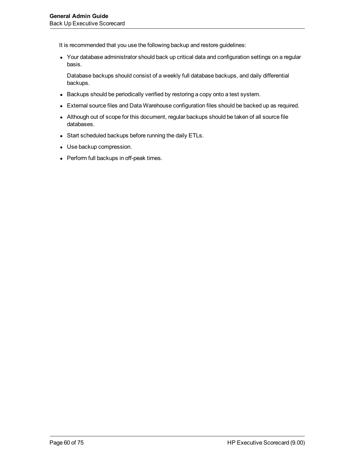It is recommended that you use the following backup and restore guidelines:

• Your database administrator should back up critical data and configuration settings on a regular basis.

Database backups should consist of a weekly full database backups, and daily differential backups.

- Backups should be periodically verified by restoring a copy onto a test system.
- External source files and Data Warehouse configuration files should be backed up as required.
- Although out of scope for this document, regular backups should be taken of all source file databases.
- Start scheduled backups before running the daily ETLs.
- Use backup compression.
- Perform full backups in off-peak times.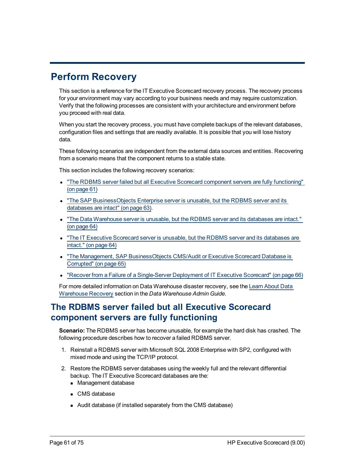# **Perform Recovery**

This section is a reference for the IT Executive Scorecard recovery process. The recovery process for your environment may vary according to your business needs and may require customization. Verify that the following processes are consistent with your architecture and environment before you proceed with real data.

When you start the recovery process, you must have complete backups of the relevant databases, configuration files and settings that are readily available. It is possible that you will lose history data.

These following scenarios are independent from the external data sources and entities. Recovering from a scenario means that the component returns to a stable state.

This section includes the following recovery scenarios:

- ["The](#page-60-0) [RDBMS](#page-60-0) [server](#page-60-0) [failed](#page-60-0) [but](#page-60-0) [all](#page-60-0) [Executive](#page-60-0) [Scorecard](#page-60-0) [component](#page-60-0) [servers](#page-60-0) [are](#page-60-0) [fully](#page-60-0) [functioning"](#page-60-0) [\(on](#page-60-0) [page](#page-60-0) [61\)](#page-60-0)
- ["The](#page-62-0) [SAP](#page-62-0) [BusinessObjects](#page-62-0) [Enterprise](#page-62-0) [server](#page-62-0) [is](#page-62-0) [unusable,](#page-62-0) [but](#page-62-0) [the](#page-62-0) [RDBMS](#page-62-0) server [and](#page-62-0) [its](#page-62-0) [databases](#page-62-0) [are](#page-62-0) [intact"](#page-62-0) [\(on](#page-62-0) [page](#page-62-0) [63\)](#page-62-0).
- ["The](#page-63-0) [Data](#page-63-0) [Warehouse](#page-63-0) [server](#page-63-0) [is](#page-63-0) [unusable,](#page-63-0) [but](#page-63-0) [the](#page-63-0) [RDBMS](#page-63-0) server [and](#page-63-0) [its](#page-63-0) [databases](#page-63-0) [are](#page-63-0) [intact."](#page-63-0) [\(on](#page-63-0) [page](#page-63-0) [64\)](#page-63-0)
- ["The](#page-63-1) [IT](#page-63-1) [Executive](#page-63-1) [Scorecard](#page-63-1) [server](#page-63-1) [is](#page-63-1) [unusable,](#page-63-1) [but](#page-63-1) [the](#page-63-1) [RDBMS](#page-63-1) server [and](#page-63-1) [its](#page-63-1) [databases](#page-63-1) [are](#page-63-1) [intact."](#page-63-1) [\(on](#page-63-1) [page](#page-63-1) [64\)](#page-63-1)
- ["The](#page-64-0) [Management,](#page-64-0) [SAP](#page-64-0) [BusinessObjects](#page-64-0) [CMS/Audit](#page-64-0) [or](#page-64-0) [Executive](#page-64-0) [Scorecard](#page-64-0) [Database](#page-64-0) [is](#page-64-0) [Corrupted"](#page-64-0) [\(on](#page-64-0) [page](#page-64-0) [65\)](#page-64-0)
- ["Recover](#page-65-0) [from](#page-65-0) [a](#page-65-0) [Failure](#page-65-0) [of](#page-65-0) a [Single-Server](#page-65-0) [Deployment](#page-65-0) of [IT](#page-65-0) [Executive](#page-65-0) [Scorecard"](#page-65-0) [\(on](#page-65-0) [page](#page-65-0) [66\)](#page-65-0)

For more detailed information on Data Warehouse disaster recovery, see the [Learn](../../../../../../DWH_Admin_Child_Project/Content/Topics/C_Recovery.htm) [About](../../../../../../DWH_Admin_Child_Project/Content/Topics/C_Recovery.htm) [Data](../../../../../../DWH_Admin_Child_Project/Content/Topics/C_Recovery.htm) [Warehouse](../../../../../../DWH_Admin_Child_Project/Content/Topics/C_Recovery.htm) [Recovery](../../../../../../DWH_Admin_Child_Project/Content/Topics/C_Recovery.htm) section in the *Data Warehouse Admin Guide*.

# <span id="page-60-0"></span>**The RDBMS server failed but all Executive Scorecard component servers are fully functioning**

**Scenario:** The RDBMS server has become unusable, for example the hard disk has crashed. The following procedure describes how to recover a failed RDBMS server.

- 1. Reinstall a RDBMS server with Microsoft SQL 2008 Enterprise with SP2, configured with mixed mode and using the TCP/IP protocol.
- 2. Restore the RDBMS server databases using the weekly full and the relevant differential backup. The IT Executive Scorecard databases are the:
	- Management database
	- **n** CMS database
	- Audit database (if installed separately from the CMS database)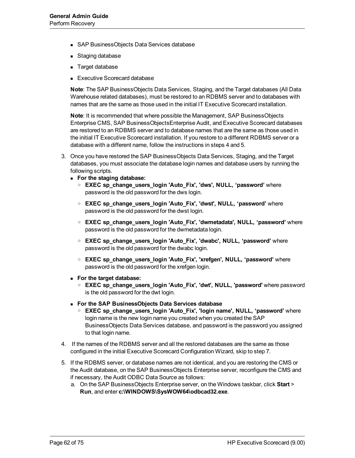- **BUS AP BusinessObjects Data Services database**
- **Staging database**
- **n** Target database
- **Executive Scorecard database**

**Note**: The SAP BusinessObjects Data Services, Staging, and the Target databases (All Data Warehouse related databases), must be restored to an RDBMS server and to databases with names that are the same as those used in the initial IT Executive Scorecard installation.

**Note**: It is recommended that where possible the Management, SAP BusinessObjects Enterprise CMS, SAP BusinessObjectsEnterprise Audit, and Executive Scorecard databases are restored to an RDBMS server and to database names that are the same as those used in the initial IT Executive Scorecard installation. If you restore to a different RDBMS server or a database with a different name, follow the instructions in steps 4 and 5.

- 3. Once you have restored the SAP BusinessObjects Data Services, Staging, and the Target databases, you must associate the database login names and database users by running the following scripts.
	- <sup>n</sup> **For the staging database:**
		- o **EXEC sp\_change\_users\_login 'Auto\_Fix', 'dws', NULL, 'password'** where password is the old password for the dws login.
		- o **EXEC sp\_change\_users\_login 'Auto\_Fix', 'dwst', NULL, 'password'** where password is the old password for the dwst login.
		- o **EXEC sp\_change\_users\_login 'Auto\_Fix', 'dwmetadata', NULL, 'password'** where password is the old password for the dwmetadata login.
		- o **EXEC sp\_change\_users\_login 'Auto\_Fix', 'dwabc', NULL, 'password'** where password is the old password for the dwabc login.
		- o **EXEC sp\_change\_users\_login 'Auto\_Fix', 'xrefgen', NULL, 'password'** where password is the old password for the xrefgen login.
	- <sup>n</sup> **For the target database:**
		- o **EXEC sp\_change\_users\_login 'Auto\_Fix', 'dwt', NULL, 'password'** where password is the old password for the dwt login.
	- <sup>n</sup> **For the SAP BusinessObjects Data Services database**
		- o **EXEC sp\_change\_users\_login 'Auto\_Fix', 'login name', NULL, 'password'** where login name is the new login name you created when you created the SAP BusinessObjects Data Services database, and password is the password you assigned to that login name.
- 4. If the names of the RDBMS server and all the restored databases are the same as those configured in the initial Executive Scorecard Configuration Wizard, skip to step 7.
- 5. If the RDBMS server, or database names are not identical, and you are restoring the CMS or the Audit database, on the SAP BusinessObjects Enterprise server, reconfigure the CMS and if necessary, the Audit ODBC Data Source as follows:
	- a. On the SAP BusinessObjects Enterprise server, on the Windows taskbar, click **Start** > **Run**, and enter **c:\WINDOWS\SysWOW64\odbcad32.exe**.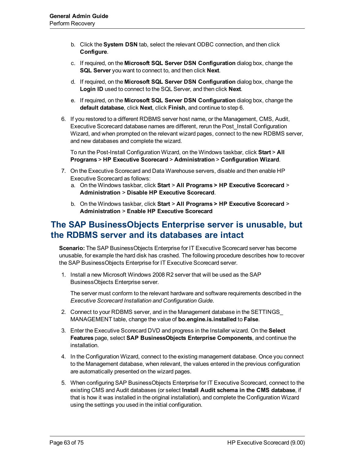- b. Click the **System DSN** tab, select the relevant ODBC connection, and then click **Configure**.
- c. If required, on the **Microsoft SQL Server DSN Configuration** dialog box, change the **SQL Server** you want to connect to, and then click **Next**.
- d. If required, on the **Microsoft SQL Server DSN Configuration** dialog box, change the **Login ID** used to connect to the SQL Server, and then click **Next**.
- e. If required, on the **Microsoft SQL Server DSN Configuration** dialog box, change the **default database**, click **Next**, click **Finish**, and continue to step 6.
- 6. If you restored to a different RDBMS server host name, or the Management, CMS, Audit, Executive Scorecard database names are different, rerun the Post\_Install Configuration Wizard, and when prompted on the relevant wizard pages, connect to the new RDBMS server, and new databases and complete the wizard.

To run the Post-Install Configuration Wizard, on the Windows taskbar, click **Start** > **All Programs** > **HP Executive Scorecard** > **Administration** > **Configuration Wizard**.

- 7. On the Executive Scorecard and Data Warehouse servers, disable and then enable HP Executive Scorecard as follows:
	- a. On the Windows taskbar, click **Start** > **All Programs > HP Executive Scorecard** > **Administration** > **Disable HP Executive Scorecard**.
	- b. On the Windows taskbar, click **Start** > **All Programs > HP Executive Scorecard** > **Administration** > **Enable HP Executive Scorecard**

## <span id="page-62-0"></span>**The SAP BusinessObjects Enterprise server is unusable, but the RDBMS server and its databases are intact**

**Scenario:** The SAP BusinessObjects Enterprise for IT Executive Scorecard server has become unusable, for example the hard disk has crashed. The following procedure describes how to recover the SAP BusinessObjects Enterprise for IT Executive Scorecard server.

1. Install a new Microsoft Windows 2008 R2 server that will be used as the SAP BusinessObjects Enterprise server.

The server must conform to the relevant hardware and software requirements described in the *Executive Scorecard Installation and Configuration Guide*.

- 2. Connect to your RDBMS server, and in the Management database in the SETTINGS\_ MANAGEMENT table, change the value of **bo.engine.is.installed** to **False**.
- 3. Enter the Executive Scorecard DVD and progress in the Installer wizard. On the **Select Features** page, select **SAP BusinessObjects Enterprise Components**, and continue the installation.
- 4. In the Configuration Wizard, connect to the existing management database. Once you connect to the Management database, when relevant, the values entered in the previous configuration are automatically presented on the wizard pages.
- 5. When configuring SAP BusinessObjects Enterprise for IT Executive Scorecard, connect to the existing CMS and Audit databases (or select **Install Audit schema in the CMS database**, if that is how it was installed in the original installation), and complete the Configuration Wizard using the settings you used in the initial configuration.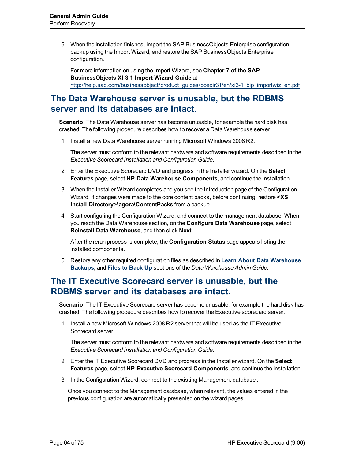6. When the installation finishes, import the SAP BusinessObjects Enterprise configuration backup using the Import Wizard, and restore the SAP BusinessObjects Enterprise configuration.

For more information on using the Import Wizard, see **Chapter 7 of the SAP BusinessObjects XI 3.1 Import Wizard Guide** at [http://help.sap.com/businessobject/product\\_guides/boexir31/en/xi3-1\\_bip\\_importwiz\\_en.pdf](http://help.sap.com/businessobject/product_guides/boexir31/en/xi3-1_bip_importwiz_en.pdf)

# <span id="page-63-0"></span>**The Data Warehouse server is unusable, but the RDBMS server and its databases are intact.**

**Scenario:** The Data Warehouse server has become unusable, for example the hard disk has crashed. The following procedure describes how to recover a Data Warehouse server.

1. Install a new Data Warehouse server running Microsoft Windows 2008 R2.

The server must conform to the relevant hardware and software requirements described in the *Executive Scorecard Installation and Configuration Guide*.

- 2. Enter the Executive Scorecard DVD and progress in the Installer wizard. On the **Select Features** page, select **HP Data Warehouse Components**, and continue the installation.
- 3. When the Installer Wizard completes and you see the Introduction page of the Configuration Wizard, if changes were made to the core content packs, before continuing, restore **<XS Install Directory>\agora\ContentPacks** from a backup.
- 4. Start configuring the Configuration Wizard, and connect to the management database. When you reach the Data Warehouse section, on the **Configure Data Warehouse** page, select **Reinstall Data Warehouse**, and then click **Next**.

After the rerun process is complete, the **Configuration Status** page appears listing the installed components.

5. Restore any other required configuration files as described in **[Learn](../../../../../../DWH_Admin_Child_Project/Content/Topics/C_Backup.htm) [About](../../../../../../DWH_Admin_Child_Project/Content/Topics/C_Backup.htm) [Data](../../../../../../DWH_Admin_Child_Project/Content/Topics/C_Backup.htm) [Warehouse](../../../../../../DWH_Admin_Child_Project/Content/Topics/C_Backup.htm) [Backups](../../../../../../DWH_Admin_Child_Project/Content/Topics/C_Backup.htm)**, and **[Files](../../../../../../DWH_Admin_Child_Project/Content/Topics/R_Backup.htm) [to](../../../../../../DWH_Admin_Child_Project/Content/Topics/R_Backup.htm) [Back](../../../../../../DWH_Admin_Child_Project/Content/Topics/R_Backup.htm) [Up](../../../../../../DWH_Admin_Child_Project/Content/Topics/R_Backup.htm)** sections of the *Data Warehouse Admin Guide*.

# <span id="page-63-1"></span>**The IT Executive Scorecard server is unusable, but the RDBMS server and its databases are intact.**

**Scenario:** The IT Executive Scorecard server has become unusable, for example the hard disk has crashed. The following procedure describes how to recover the Executive scorecard server.

1. Install a new Microsoft Windows 2008 R2 server that will be used as the IT Executive Scorecard server.

The server must conform to the relevant hardware and software requirements described in the *Executive Scorecard Installation and Configuration Guide*.

- 2. Enter the IT Executive Scorecard DVD and progress in the Installer wizard. On the **Select Features** page, select **HP Executive Scorecard Components**, and continue the installation.
- 3. In the Configuration Wizard, connect to the existing Management database .

Once you connect to the Management database, when relevant, the values entered in the previous configuration are automatically presented on the wizard pages.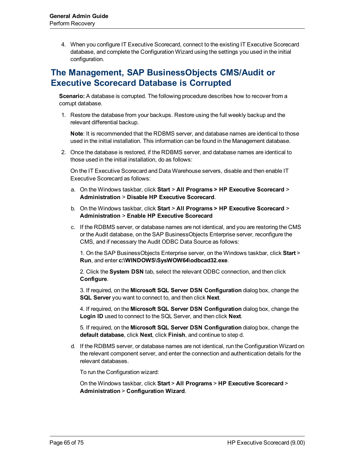4. When you configure IT Executive Scorecard, connect to the existing IT Executive Scorecard database, and complete the Configuration Wizard using the settings you used in the initial configuration.

# <span id="page-64-0"></span>**The Management, SAP BusinessObjects CMS/Audit or Executive Scorecard Database is Corrupted**

**Scenario:** A database is corrupted. The following procedure describes how to recover from a corrupt database.

1. Restore the database from your backups. Restore using the full weekly backup and the relevant differential backup.

**Note**: It is recommended that the RDBMS server, and database names are identical to those used in the initial installation. This information can be found in the Management database.

2. Once the database is restored, if the RDBMS server, and database names are identical to those used in the initial installation, do as follows:

On the IT Executive Scorecard and Data Warehouse servers, disable and then enable IT Executive Scorecard as follows:

- a. On the Windows taskbar, click **Start** > **All Programs > HP Executive Scorecard** > **Administration** > **Disable HP Executive Scorecard**.
- b. On the Windows taskbar, click **Start** > **All Programs > HP Executive Scorecard** > **Administration** > **Enable HP Executive Scorecard**
- c. If the RDBMS server, or database names are not identical, and you are restoring the CMS or the Audit database, on the SAP BusinessObjects Enterprise server, reconfigure the CMS, and if necessary the Audit ODBC Data Source as follows:

1. On the SAP BusinessObjects Enterprise server, on the Windows taskbar, click **Start** > **Run**, and enter **c:\WINDOWS\SysWOW64\odbcad32.exe**.

2. Click the **System DSN** tab, select the relevant ODBC connection, and then click **Configure**.

3. If required, on the **Microsoft SQL Server DSN Configuration** dialog box, change the **SQL Server** you want to connect to, and then click **Next**.

4. If required, on the **Microsoft SQL Server DSN Configuration** dialog box, change the **Login ID** used to connect to the SQL Server, and then click **Next**.

5. If required, on the **Microsoft SQL Server DSN Configuration** dialog box, change the **default database**, click **Next**, click **Finish**, and continue to step d.

d. If the RDBMS server, or database names are not identical, run the Configuration Wizard on the relevant component server, and enter the connection and authentication details for the relevant databases.

To run the Configuration wizard:

On the Windows taskbar, click **Start** > **All Programs** > **HP Executive Scorecard** > **Administration** > **Configuration Wizard**.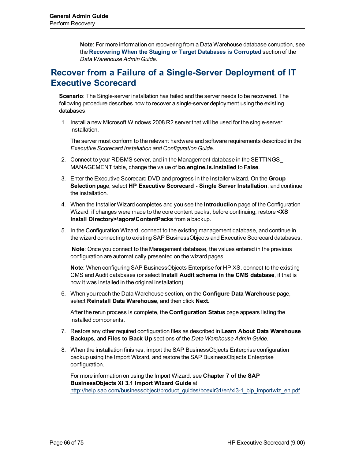**Note**: For more information on recovering from a Data Warehouse database corruption, see the **[Recovering](../../../../../../DWH_Admin_Child_Project/Content/Topics/T_SorT_db_corrupt.htm) [When](../../../../../../DWH_Admin_Child_Project/Content/Topics/T_SorT_db_corrupt.htm) [the](../../../../../../DWH_Admin_Child_Project/Content/Topics/T_SorT_db_corrupt.htm) [Staging](../../../../../../DWH_Admin_Child_Project/Content/Topics/T_SorT_db_corrupt.htm) [or](../../../../../../DWH_Admin_Child_Project/Content/Topics/T_SorT_db_corrupt.htm) [Target](../../../../../../DWH_Admin_Child_Project/Content/Topics/T_SorT_db_corrupt.htm) [Databases](../../../../../../DWH_Admin_Child_Project/Content/Topics/T_SorT_db_corrupt.htm) [is](../../../../../../DWH_Admin_Child_Project/Content/Topics/T_SorT_db_corrupt.htm) [Corrupted](../../../../../../DWH_Admin_Child_Project/Content/Topics/T_SorT_db_corrupt.htm)** section of the *Data Warehouse Admin Guide*.

# <span id="page-65-0"></span>**Recover from a Failure of a Single-Server Deployment of IT Executive Scorecard**

**Scenario**: The Single-server installation has failed and the server needs to be recovered. The following procedure describes how to recover a single-server deployment using the existing databases.

1. Install a new Microsoft Windows 2008 R2 server that will be used for the single-server installation.

The server must conform to the relevant hardware and software requirements described in the *Executive Scorecard Installation and Configuration Guide*.

- 2. Connect to your RDBMS server, and in the Management database in the SETTINGS\_ MANAGEMENT table, change the value of **bo.engine.is.installed** to **False**.
- 3. Enter the Executive Scorecard DVD and progress in the Installer wizard. On the **Group Selection** page, select **HP Executive Scorecard - Single Server Installation**, and continue the installation.
- 4. When the Installer Wizard completes and you see the **Introduction** page of the Configuration Wizard, if changes were made to the core content packs, before continuing, restore **<XS Install Directory>\agora\ContentPacks** from a backup.
- 5. In the Configuration Wizard, connect to the existing management database, and continue in the wizard connecting to existing SAP BusinessObjects and Executive Scorecard databases.

**Note**: Once you connect to the Management database, the values entered in the previous configuration are automatically presented on the wizard pages.

**Note**: When configuring SAP BusinessObjects Enterprise for HP XS, connect to the existing CMS and Audit databases (or select **Install Audit schema in the CMS database**, if that is how it was installed in the original installation).

6. When you reach the Data Warehouse section, on the **Configure Data Warehouse** page, select **Reinstall Data Warehouse**, and then click **Next**.

After the rerun process is complete, the **Configuration Status** page appears listing the installed components.

- 7. Restore any other required configuration files as described in **Learn About Data Warehouse Backups**, and **Files to Back Up** sections of the *Data Warehouse Admin Guide*.
- 8. When the installation finishes, import the SAP BusinessObjects Enterprise configuration backup using the Import Wizard, and restore the SAP BusinessObjects Enterprise configuration.

For more information on using the Import Wizard, see **Chapter 7 of the SAP BusinessObjects XI 3.1 Import Wizard Guide** at [http://help.sap.com/businessobject/product\\_guides/boexir31/en/xi3-1\\_bip\\_importwiz\\_en.pdf](http://help.sap.com/businessobject/product_guides/boexir31/en/xi3-1_bip_importwiz_en.pdf)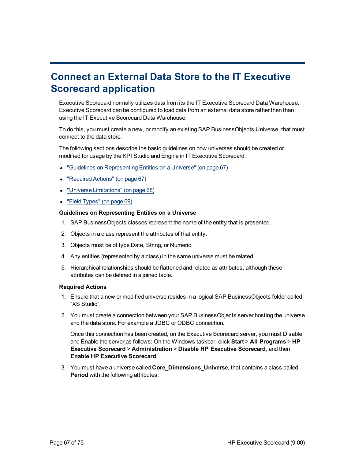# **Connect an External Data Store to the IT Executive Scorecard application**

Executive Scorecard normally utilizes data from its the IT Executive Scorecard Data Warehouse. Executive Scorecard can be configured to load data from an external data store rather then than using the IT Executive Scorecard Data Warehouse.

To do this, you must create a new, or modify an existing SAP BusinessObjects Universe, that must connect to the data store.

The following sections describe the basic guidelines on how universes should be created or modified for usage by the KPI Studio and Engine in IT Executive Scorecard.

- ["Guidelines](#page-66-0) [on](#page-66-0) [Representing](#page-66-0) [Entities](#page-66-0) on [a](#page-66-0) [Universe"](#page-66-0) [\(on](#page-66-0) [page](#page-66-0) [67\)](#page-66-0)
- ["Required](#page-66-1) [Actions"](#page-66-1) [\(on](#page-66-1) [page](#page-66-1) [67\)](#page-66-1)
- ["Universe](#page-67-0) [Limitations"](#page-67-0) [\(on](#page-67-0) [page](#page-67-0) [68\)](#page-67-0)
- <span id="page-66-0"></span>• ["Field](#page-68-0) [Types"](#page-68-0) [\(on](#page-68-0) [page](#page-68-0) [69\)](#page-68-0)

#### **Guidelines on Representing Entities on a Universe**

- 1. SAP BusinessObjects classes represent the name of the entity that is presented.
- 2. Objects in a class represent the attributes of that entity.
- 3. Objects must be of type Date, String, or Numeric.
- 4. Any entities (represented by a class) in the same universe must be related.
- 5. Hierarchical relationships should be flattened and related as attributes, although these attributes can be defined in a joined table.

#### <span id="page-66-1"></span>**Required Actions**

- 1. Ensure that a new or modified universe resides in a logical SAP BusinessObjects folder called "XS Studio".
- 2. You must create a connection between your SAP BusinessObjects server hosting the universe and the data store. For example a JDBC or ODBC connection.

Once this connection has been created, on the Executive Scorecard server, you must Disable and Enable the server as follows: On the Windows taskbar, click **Start** > **All Programs** > **HP Executive Scorecard** > **Administration** > **Disable HP Executive Scorecard**, and then **Enable HP Executive Scorecard**.

3. You must have a universe called **Core\_Dimensions\_Universe**, that contains a class called **Period** with the following attributes: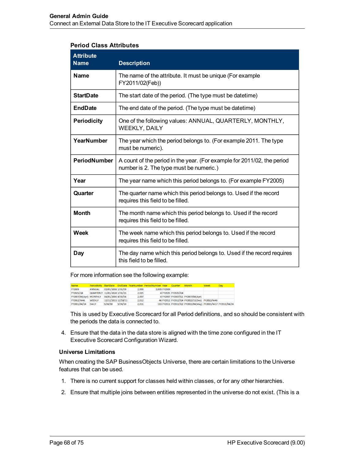#### **Period Class Attributes**

| <b>Attribute</b><br><b>Name</b> | <b>Description</b>                                                                                                 |
|---------------------------------|--------------------------------------------------------------------------------------------------------------------|
| <b>Name</b>                     | The name of the attribute. It must be unique (For example<br>FY2011/02(Feb))                                       |
| <b>StartDate</b>                | The start date of the period. (The type must be datetime)                                                          |
| <b>EndDate</b>                  | The end date of the period. (The type must be datetime)                                                            |
| <b>Periodicity</b>              | One of the following values: ANNUAL, QUARTERLY, MONTHLY,<br><b>WEEKLY, DAILY</b>                                   |
| <b>YearNumber</b>               | The year which the period belongs to. (For example 2011. The type<br>must be numeric).                             |
| PeriodNumber                    | A count of the period in the year. (For example for 2011/02, the period<br>number is 2. The type must be numeric.) |
| Year                            | The year name which this period belongs to. (For example FY2005)                                                   |
| Quarter                         | The quarter name which this period belongs to. Used if the record<br>requires this field to be filled.             |
| <b>Month</b>                    | The month name which this period belongs to. Used if the record<br>requires this field to be filled.               |
| Week                            | The week name which this period belongs to. Used if the record<br>requires this field to be filled.                |
| Day                             | The day name which this period belongs to. Used if the record requires<br>this field to be filled.                 |

For more information see the following example:

| <b>Name</b>            |                              |                     |         |       | Periodicity StartDate EndDate YearNumber PeriodNumber Year Quarter |              |                    | <b>Month</b>                                                | <b>Week</b> | Day |
|------------------------|------------------------------|---------------------|---------|-------|--------------------------------------------------------------------|--------------|--------------------|-------------------------------------------------------------|-------------|-----|
| FY2009                 | <b>ANNUAL</b>                | 02/01/2008 1/31/09  |         | 2,009 |                                                                    | 2.009 FY2009 |                    |                                                             |             |     |
| FY2025/Q4              | QUARTERLY 11/01/2024 1/31/25 |                     |         | 2.025 |                                                                    |              | 4 FY2025 FY2025/Q4 |                                                             |             |     |
| FY2007/04(Apr) MONTHLY |                              | 04/01/2006 4/30/06  |         | 2,007 |                                                                    |              |                    | 4 FY2007 FY2007/Q1 FY2007/04(Apr)                           |             |     |
| FY2012/W46             | WEEKLY                       | 12/12/2011 12/18/11 |         | 2.012 |                                                                    |              |                    | 46 FY2012 FY2012/Q4 FY2012/11(Dec) FY2012/W46               |             |     |
| FY2011/04/24           | <b>DAILY</b>                 | 5/24/10             | 5/24/10 | 2,011 |                                                                    |              |                    | 113 FY2011 FY2011/Q2 FY2011/04(May) FY2011/W17 FY2011/04/24 |             |     |

This is used by Executive Scorecard for all Period definitions, and so should be consistent with the periods the data is connected to.

4. Ensure that the data in the data store is aligned with the time zone configured in the IT Executive Scorecard Configuration Wizard.

#### <span id="page-67-0"></span>**Universe Limitations**

When creating the SAP BusinessObjects Universe, there are certain limitations to the Universe features that can be used.

- 1. There is no current support for classes held within classes, or for any other hierarchies.
- 2. Ensure that multiple joins between entities represented in the universe do not exist. (This is a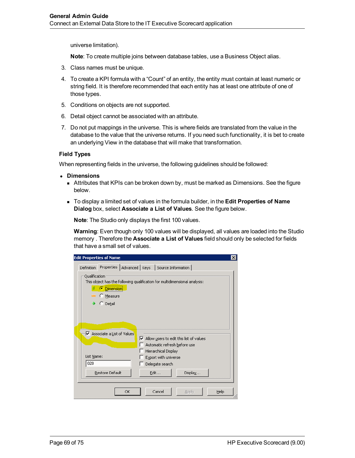universe limitation).

**Note**: To create multiple joins between database tables, use a Business Object alias.

- 3. Class names must be unique.
- 4. To create a KPI formula with a "Count" of an entity, the entity must contain at least numeric or string field. It is therefore recommended that each entity has at least one attribute of one of those types.
- 5. Conditions on objects are not supported.
- 6. Detail object cannot be associated with an attribute.
- 7. Do not put mappings in the universe. This is where fields are translated from the value in the database to the value that the universe returns. If you need such functionality, it is bet to create an underlying View in the database that will make that transformation.

#### <span id="page-68-0"></span>**Field Types**

When representing fields in the universe, the following guidelines should be followed:

- **Dimensions** 
	- n Attributes that KPIs can be broken down by, must be marked as Dimensions. See the figure below.
	- <sup>n</sup> To display a limited set of values in the formula builder, in the **Edit Properties of Name Dialog** box, select **Associate a List of Values**. See the figure below.

**Note**: The Studio only displays the first 100 values.

**Warning**: Even though only 100 values will be displayed, all values are loaded into the Studio memory . Therefore the **Associate a List of Values** field should only be selected for fields that have a small set of values.

|               | <b>Edit Properties of Name</b>                                               |    |                                              |                                                                                          | $\boldsymbol{\mathsf{x}}$ |
|---------------|------------------------------------------------------------------------------|----|----------------------------------------------|------------------------------------------------------------------------------------------|---------------------------|
| Definition    |                                                                              |    |                                              | Properties   Advanced   Keys   Source Information                                        |                           |
| Qualification | <b>Dimension</b><br>www. C Measure<br>C Detail<br>Associate a List of Values |    |                                              | This object has the following qualification for multidimensional analysis:               |                           |
|               |                                                                              |    |                                              | $\triangleright$ Allow users to edit this list of values<br>Automatic refresh before use |                           |
| List Name:    |                                                                              |    | Hierarchical Display<br>Export with universe |                                                                                          |                           |
| 020           |                                                                              |    | Delegate search                              |                                                                                          |                           |
|               | Restore Default                                                              |    | <b>Edit</b>                                  | Display                                                                                  |                           |
|               |                                                                              |    |                                              |                                                                                          |                           |
|               |                                                                              | OK | Cancel                                       | Apply                                                                                    | Help                      |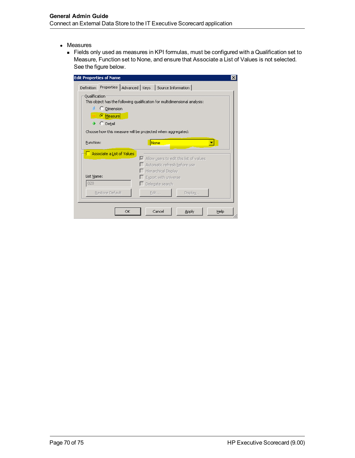- Measures
	- <sup>n</sup> Fields only used as measures in KPI formulas, must be configured with a Qualification set to Measure, Function set to None, and ensure that Associate a List of Values is not selected. See the figure below.

| dit Properties of Name                                                                      |                                                                                               |         | $\boldsymbol{\mathsf{x}}$ |
|---------------------------------------------------------------------------------------------|-----------------------------------------------------------------------------------------------|---------|---------------------------|
| Definition                                                                                  | Properties   Advanced   Keys   Source Information                                             |         |                           |
| Qualification<br>This object has the following qualification for multidimensional analysis: |                                                                                               |         |                           |
| C Dimension<br>Measure                                                                      |                                                                                               |         |                           |
| C Detail                                                                                    |                                                                                               |         |                           |
| Choose how this measure will be projected when aggregated:                                  |                                                                                               |         |                           |
| <b>Eunction:</b>                                                                            | None                                                                                          |         |                           |
| Associate a List of Values                                                                  |                                                                                               |         |                           |
|                                                                                             | $\blacktriangleright$ Allow users to edit this list of values<br>Automatic refresh before use |         |                           |
|                                                                                             | Hierarchical Display                                                                          |         |                           |
| List Name:                                                                                  | Export with universe                                                                          |         |                           |
| 020                                                                                         | $\Box$ Delegate search                                                                        |         |                           |
| Restore Default                                                                             | Edit                                                                                          | Display |                           |
|                                                                                             |                                                                                               |         |                           |
| OK                                                                                          | Cancel                                                                                        | Apply   | Help                      |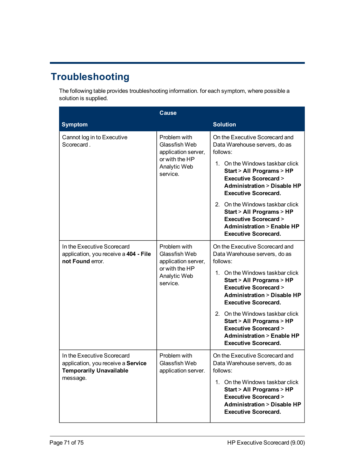# **Troubleshooting**

The following table provides troubleshooting information. for each symptom, where possible a solution is supplied.

|                                                                                                                | <b>Cause</b>                                                                                              |                                                                                                                                                                                                                                                                                                                                                                                                                                  |
|----------------------------------------------------------------------------------------------------------------|-----------------------------------------------------------------------------------------------------------|----------------------------------------------------------------------------------------------------------------------------------------------------------------------------------------------------------------------------------------------------------------------------------------------------------------------------------------------------------------------------------------------------------------------------------|
| <b>Symptom</b>                                                                                                 |                                                                                                           | <b>Solution</b>                                                                                                                                                                                                                                                                                                                                                                                                                  |
| Cannot log in to Executive<br>Scorecard.                                                                       | Problem with<br>Glassfish Web<br>application server,<br>or with the HP<br>Analytic Web<br>service.        | On the Executive Scorecard and<br>Data Warehouse servers, do as<br>follows:<br>1. On the Windows taskbar click<br>Start > All Programs > HP<br><b>Executive Scorecard &gt;</b><br><b>Administration &gt; Disable HP</b><br><b>Executive Scorecard.</b><br>2. On the Windows taskbar click<br>Start > All Programs > HP<br><b>Executive Scorecard &gt;</b><br><b>Administration &gt; Enable HP</b><br><b>Executive Scorecard.</b> |
| In the Executive Scorecard<br>application, you receive a 404 - File<br>not Found error.                        | Problem with<br>Glassfish Web<br>application server,<br>or with the HP<br><b>Analytic Web</b><br>service. | On the Executive Scorecard and<br>Data Warehouse servers, do as<br>follows:<br>1. On the Windows taskbar click<br>Start > All Programs > HP<br><b>Executive Scorecard &gt;</b><br><b>Administration &gt; Disable HP</b><br><b>Executive Scorecard.</b><br>2. On the Windows taskbar click<br>Start > All Programs > HP<br><b>Executive Scorecard &gt;</b><br><b>Administration &gt; Enable HP</b><br><b>Executive Scorecard.</b> |
| In the Executive Scorecard<br>application, you receive a Service<br><b>Temporarily Unavailable</b><br>message. | Problem with<br>Glassfish Web<br>application server.                                                      | On the Executive Scorecard and<br>Data Warehouse servers, do as<br>follows:<br>1. On the Windows taskbar click<br>Start > All Programs > HP<br><b>Executive Scorecard &gt;</b><br><b>Administration &gt; Disable HP</b><br><b>Executive Scorecard.</b>                                                                                                                                                                           |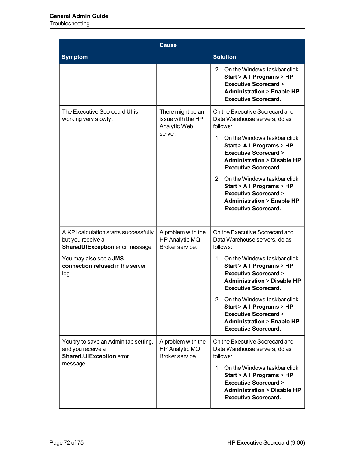## **Troubleshooting**

|                                                                                                           | Cause                                                             |                                                                                                                                                                                                                                                                                                                                                                                                                                  |  |  |
|-----------------------------------------------------------------------------------------------------------|-------------------------------------------------------------------|----------------------------------------------------------------------------------------------------------------------------------------------------------------------------------------------------------------------------------------------------------------------------------------------------------------------------------------------------------------------------------------------------------------------------------|--|--|
| <b>Symptom</b>                                                                                            |                                                                   | <b>Solution</b>                                                                                                                                                                                                                                                                                                                                                                                                                  |  |  |
|                                                                                                           |                                                                   | 2. On the Windows taskbar click<br>Start > All Programs > HP<br><b>Executive Scorecard &gt;</b><br><b>Administration &gt; Enable HP</b><br><b>Executive Scorecard.</b>                                                                                                                                                                                                                                                           |  |  |
| The Executive Scorecard UI is<br>working very slowly.                                                     | There might be an<br>issue with the HP<br>Analytic Web<br>server. | On the Executive Scorecard and<br>Data Warehouse servers, do as<br>follows:<br>1. On the Windows taskbar click<br>Start > All Programs > HP<br><b>Executive Scorecard &gt;</b><br><b>Administration &gt; Disable HP</b><br><b>Executive Scorecard.</b><br>2. On the Windows taskbar click<br>Start > All Programs > HP<br><b>Executive Scorecard &gt;</b><br><b>Administration &gt; Enable HP</b><br><b>Executive Scorecard.</b> |  |  |
| A KPI calculation starts successfully<br>but you receive a<br><b>SharedUIException error message.</b>     | A problem with the<br>HP Analytic MQ<br>Broker service.           | On the Executive Scorecard and<br>Data Warehouse servers, do as<br>follows:                                                                                                                                                                                                                                                                                                                                                      |  |  |
| You may also see a <b>JMS</b><br>connection refused in the server<br>log.                                 |                                                                   | 1. On the Windows taskbar click<br>Start > All Programs > HP<br><b>Executive Scorecard &gt;</b><br><b>Administration &gt; Disable HP</b><br><b>Executive Scorecard.</b>                                                                                                                                                                                                                                                          |  |  |
|                                                                                                           |                                                                   | 2. On the Windows taskbar click<br>Start > All Programs > HP<br><b>Executive Scorecard &gt;</b><br><b>Administration &gt; Enable HP</b><br><b>Executive Scorecard.</b>                                                                                                                                                                                                                                                           |  |  |
| You try to save an Admin tab setting,<br>and you receive a<br><b>Shared.UIException error</b><br>message. | A problem with the<br>HP Analytic MQ<br>Broker service.           | On the Executive Scorecard and<br>Data Warehouse servers, do as<br>follows:<br>1. On the Windows taskbar click<br>Start > All Programs > HP<br><b>Executive Scorecard &gt;</b><br><b>Administration &gt; Disable HP</b>                                                                                                                                                                                                          |  |  |
|                                                                                                           |                                                                   | <b>Executive Scorecard.</b>                                                                                                                                                                                                                                                                                                                                                                                                      |  |  |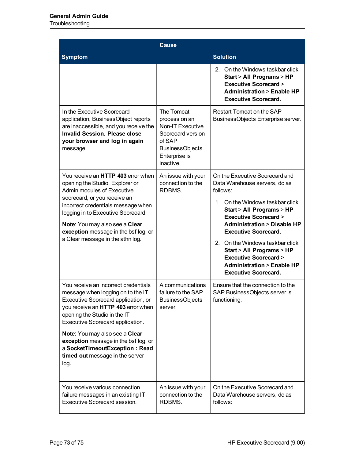Troubleshooting

|                                                                                                                                                                                                                                                                                                                                                                                   | <b>Cause</b>                                                                                                                                  |                                                                                                                                                                                                                                                                                                                                                                                                                                  |
|-----------------------------------------------------------------------------------------------------------------------------------------------------------------------------------------------------------------------------------------------------------------------------------------------------------------------------------------------------------------------------------|-----------------------------------------------------------------------------------------------------------------------------------------------|----------------------------------------------------------------------------------------------------------------------------------------------------------------------------------------------------------------------------------------------------------------------------------------------------------------------------------------------------------------------------------------------------------------------------------|
| <b>Symptom</b>                                                                                                                                                                                                                                                                                                                                                                    |                                                                                                                                               | <b>Solution</b>                                                                                                                                                                                                                                                                                                                                                                                                                  |
|                                                                                                                                                                                                                                                                                                                                                                                   |                                                                                                                                               | 2. On the Windows taskbar click<br>Start > All Programs > HP<br><b>Executive Scorecard &gt;</b><br><b>Administration &gt; Enable HP</b><br><b>Executive Scorecard.</b>                                                                                                                                                                                                                                                           |
| In the Executive Scorecard<br>application, BusinessObject reports<br>are inaccessible, and you receive the<br><b>Invalid Session. Please close</b><br>your browser and log in again<br>message.                                                                                                                                                                                   | The Tomcat<br>process on an<br><b>Non-IT Executive</b><br>Scorecard version<br>of SAP<br><b>BusinessObjects</b><br>Enterprise is<br>inactive. | Restart Tomcat on the SAP<br>BusinessObjects Enterprise server.                                                                                                                                                                                                                                                                                                                                                                  |
| You receive an HTTP 403 error when<br>opening the Studio, Explorer or<br>Admin modules of Executive<br>scorecard, or you receive an<br>incorrect credentials message when<br>logging in to Executive Scorecard.<br>Note: You may also see a Clear<br>exception message in the bsf log, or<br>a Clear message in the athn log.                                                     | An issue with your<br>connection to the<br>RDBMS.                                                                                             | On the Executive Scorecard and<br>Data Warehouse servers, do as<br>follows:<br>1. On the Windows taskbar click<br>Start > All Programs > HP<br><b>Executive Scorecard &gt;</b><br><b>Administration &gt; Disable HP</b><br><b>Executive Scorecard.</b><br>2. On the Windows taskbar click<br>Start > All Programs > HP<br><b>Executive Scorecard &gt;</b><br><b>Administration &gt; Enable HP</b><br><b>Executive Scorecard.</b> |
| You receive an incorrect credentials<br>message when logging on to the IT<br>Executive Scorecard application, or<br>you receive an HTTP 403 error when<br>opening the Studio in the IT<br>Executive Scorecard application.<br>Note: You may also see a Clear<br>exception message in the bsf log, or<br>a SocketTimeoutException: Read<br>timed out message in the server<br>log. | A communications<br>failure to the SAP<br><b>BusinessObjects</b><br>server.                                                                   | Ensure that the connection to the<br>SAP BusinessObjects server is<br>functioning.                                                                                                                                                                                                                                                                                                                                               |
| You receive various connection<br>failure messages in an existing IT<br><b>Executive Scorecard session.</b>                                                                                                                                                                                                                                                                       | An issue with your<br>connection to the<br>RDBMS.                                                                                             | On the Executive Scorecard and<br>Data Warehouse servers, do as<br>follows:                                                                                                                                                                                                                                                                                                                                                      |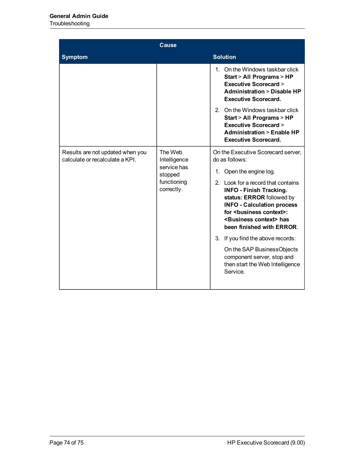## Troubleshooting

|                                                                     | <b>Cause</b>                                                                   |                                                                                                                                                                                                                                                                                                                                                                                                                                                                                                   |
|---------------------------------------------------------------------|--------------------------------------------------------------------------------|---------------------------------------------------------------------------------------------------------------------------------------------------------------------------------------------------------------------------------------------------------------------------------------------------------------------------------------------------------------------------------------------------------------------------------------------------------------------------------------------------|
| <b>Symptom</b>                                                      |                                                                                | <b>Solution</b>                                                                                                                                                                                                                                                                                                                                                                                                                                                                                   |
|                                                                     |                                                                                | 1. On the Windows taskbar click<br>Start > All Programs > HP<br><b>Executive Scorecard &gt;</b><br><b>Administration &gt; Disable HP</b><br><b>Executive Scorecard.</b><br>2. On the Windows taskbar click<br>Start > All Programs > HP<br><b>Executive Scorecard &gt;</b><br><b>Administration &gt; Enable HP</b><br><b>Executive Scorecard.</b>                                                                                                                                                 |
| Results are not updated when you<br>calculate or recalculate a KPI. | The Web<br>Intelligence<br>service has<br>stopped<br>functioning<br>correctly. | On the Executive Scorecard server,<br>do as follows:<br>Open the engine log.<br>1.<br>2. Look for a record that contains<br><b>INFO - Finish Tracking.</b><br>status: ERROR followed by<br><b>INFO - Calculation process</b><br>for <business context="">:<br/><business context=""> has<br/>been finished with ERROR.<br/>3. If you find the above records:<br/>On the SAP BusinessObjects<br/>component server, stop and<br/>then start the Web Intelligence<br/>Service.</business></business> |